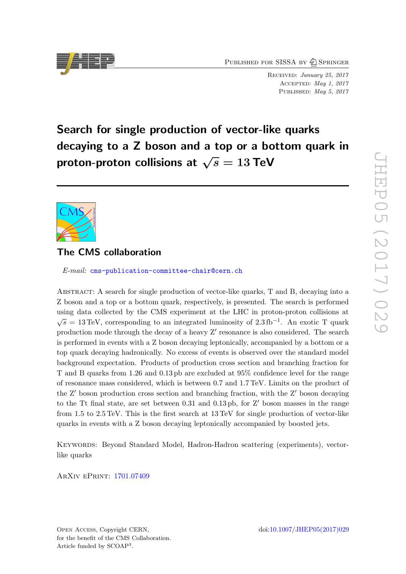PUBLISHED FOR SISSA BY 2 SPRINGER

Received: January 25, 2017 Accepted: May 1, 2017 PUBLISHED: May 5, 2017

Search for single production of vector-like quarks decaying to a Z boson and a top or a bottom quark in proton-proton collisions at  $\sqrt{s} = 13$  TeV



## The CMS collaboration

E-mail: [cms-publication-committee-chair@cern.ch](mailto:cms-publication-committee-chair@cern.ch)

Abstract: A search for single production of vector-like quarks, T and B, decaying into a Z boson and a top or a bottom quark, respectively, is presented. The search is performed using data collected by the CMS experiment at the LHC in proton-proton collisions at  $\sqrt{s} = 13 \text{ TeV}$ , corresponding to an integrated luminosity of 2.3 fb<sup>-1</sup>. An exotic T quark production mode through the decay of a heavy  $Z'$  resonance is also considered. The search is performed in events with a Z boson decaying leptonically, accompanied by a bottom or a top quark decaying hadronically. No excess of events is observed over the standard model background expectation. Products of production cross section and branching fraction for T and B quarks from 1.26 and 0.13 pb are excluded at 95% confidence level for the range of resonance mass considered, which is between 0.7 and 1.7 TeV. Limits on the product of the  $Z'$  boson production cross section and branching fraction, with the  $Z'$  boson decaying to the Tt final state, are set between  $0.31$  and  $0.13$  pb, for Z' boson masses in the range from 1.5 to 2.5 TeV. This is the first search at 13 TeV for single production of vector-like quarks in events with a Z boson decaying leptonically accompanied by boosted jets.

Keywords: Beyond Standard Model, Hadron-Hadron scattering (experiments), vectorlike quarks

ArXiv ePrint: [1701.07409](https://arxiv.org/abs/1701.07409)

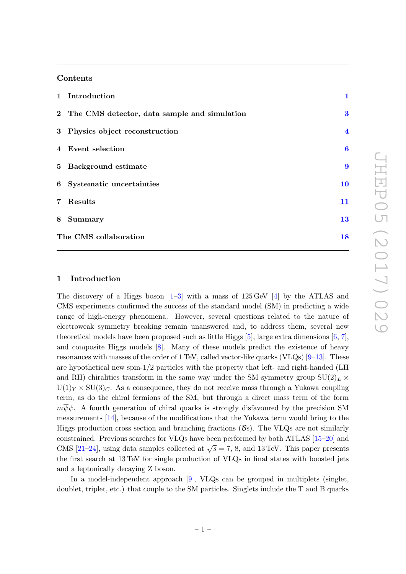### Contents

| 1 Introduction                                 | 1                       |
|------------------------------------------------|-------------------------|
| 2 The CMS detector, data sample and simulation | $\bf{3}$                |
| 3 Physics object reconstruction                | $\overline{\mathbf{4}}$ |
| 4 Event selection                              | $\boldsymbol{6}$        |
| 5 Background estimate                          | $\boldsymbol{9}$        |
| 6 Systematic uncertainties                     | 10                      |
| 7 Results                                      | 11                      |
| 8 Summary                                      | 13                      |
| The CMS collaboration                          | 18                      |

## <span id="page-1-0"></span>1 Introduction

The discovery of a Higgs boson  $[1-3]$  $[1-3]$  with a mass of 125 GeV  $[4]$  by the ATLAS and CMS experiments confirmed the success of the standard model (SM) in predicting a wide range of high-energy phenomena. However, several questions related to the nature of electroweak symmetry breaking remain unanswered and, to address them, several new theoretical models have been proposed such as little Higgs  $[5]$ , large extra dimensions  $[6, 7]$  $[6, 7]$  $[6, 7]$ , and composite Higgs models [\[8\]](#page-14-6). Many of these models predict the existence of heavy resonances with masses of the order of 1 TeV, called vector-like quarks (VLQs) [\[9–](#page-14-7)[13\]](#page-14-8). These are hypothetical new spin-1/2 particles with the property that left- and right-handed (LH and RH) chiralities transform in the same way under the SM symmetry group  $SU(2)_L \times$  $U(1)_Y \times SU(3)_C$ . As a consequence, they do not receive mass through a Yukawa coupling term, as do the chiral fermions of the SM, but through a direct mass term of the form  $m\overline{\psi}\psi$ . A fourth generation of chiral quarks is strongly disfavoured by the precision SM measurements [\[14\]](#page-14-9), because of the modifications that the Yukawa term would bring to the Higgs production cross section and branching fractions  $(\mathcal{B}_s)$ . The VLQs are not similarly constrained. Previous searches for VLQs have been performed by both ATLAS [\[15](#page-14-10)[–20\]](#page-15-0) and CMS [\[21](#page-15-1)[–24\]](#page-15-2), using data samples collected at  $\sqrt{s} = 7$ , 8, and 13 TeV. This paper presents the first search at 13 TeV for single production of VLQs in final states with boosted jets and a leptonically decaying Z boson.

In a model-independent approach [\[9\]](#page-14-7), VLQs can be grouped in multiplets (singlet, doublet, triplet, etc.) that couple to the SM particles. Singlets include the T and B quarks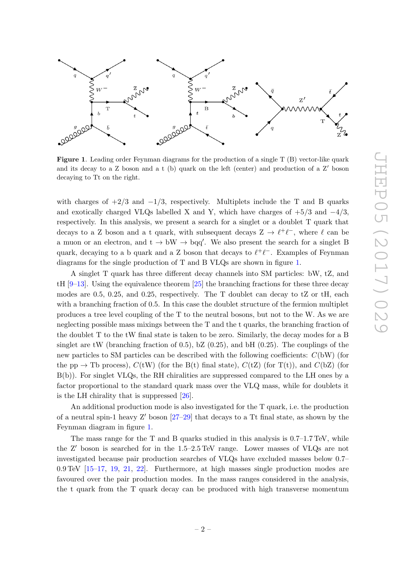

<span id="page-2-0"></span>Figure 1. Leading order Feynman diagrams for the production of a single T (B) vector-like quark and its decay to a  $Z$  boson and a  $t$  (b) quark on the left (center) and production of a  $Z'$  boson decaying to Tt on the right.

with charges of  $+2/3$  and  $-1/3$ , respectively. Multiplets include the T and B quarks and exotically charged VLQs labelled X and Y, which have charges of  $+5/3$  and  $-4/3$ , respectively. In this analysis, we present a search for a singlet or a doublet T quark that decays to a Z boson and a t quark, with subsequent decays  $Z \to \ell^+ \ell^-$ , where  $\ell$  can be a muon or an electron, and  $t \to bW \to bqq'$ . We also present the search for a singlet B quark, decaying to a b quark and a Z boson that decays to  $\ell^+\ell^-$ . Examples of Feynman diagrams for the single production of T and B VLQs are shown in figure [1.](#page-2-0)

A singlet T quark has three different decay channels into SM particles: bW, tZ, and  $H_{\text{H}}$  [\[9](#page-14-7)[–13\]](#page-14-8). Using the equivalence theorem [\[25\]](#page-15-3) the branching fractions for these three decay modes are 0.5, 0.25, and 0.25, respectively. The T doublet can decay to tZ or tH, each with a branching fraction of 0.5. In this case the doublet structure of the fermion multiplet produces a tree level coupling of the T to the neutral bosons, but not to the W. As we are neglecting possible mass mixings between the T and the t quarks, the branching fraction of the doublet T to the tW final state is taken to be zero. Similarly, the decay modes for a B singlet are tW (branching fraction of 0.5), bZ  $(0.25)$ , and bH  $(0.25)$ . The couplings of the new particles to SM particles can be described with the following coefficients:  $C(bW)$  (for the pp  $\rightarrow$  Tb process),  $C(tW)$  (for the B(t) final state),  $C(tZ)$  (for T(t)), and  $C(bZ)$  (for B(b)). For singlet VLQs, the RH chiralities are suppressed compared to the LH ones by a factor proportional to the standard quark mass over the VLQ mass, while for doublets it is the LH chirality that is suppressed [\[26\]](#page-15-4).

An additional production mode is also investigated for the T quark, i.e. the production of a neutral spin-1 heavy  $Z'$  boson  $[27–29]$  $[27–29]$  that decays to a Tt final state, as shown by the Feynman diagram in figure [1.](#page-2-0)

The mass range for the T and B quarks studied in this analysis is  $0.7-1.7$  TeV, while the  $Z'$  boson is searched for in the 1.5–2.5 TeV range. Lower masses of VLQs are not investigated because pair production searches of VLQs have excluded masses below 0.7– 0.9 TeV [\[15](#page-14-10)[–17,](#page-14-11) [19,](#page-15-7) [21,](#page-15-1) [22\]](#page-15-8). Furthermore, at high masses single production modes are favoured over the pair production modes. In the mass ranges considered in the analysis, the t quark from the T quark decay can be produced with high transverse momentum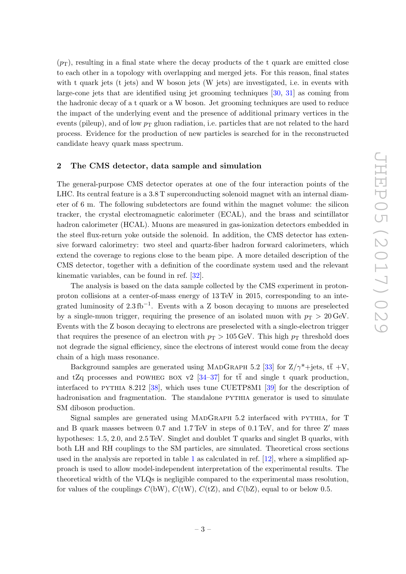$(p_T)$ , resulting in a final state where the decay products of the t quark are emitted close to each other in a topology with overlapping and merged jets. For this reason, final states with t quark jets (t jets) and W boson jets (W jets) are investigated, i.e. in events with large-cone jets that are identified using jet grooming techniques [\[30,](#page-15-9) [31\]](#page-15-10) as coming from the hadronic decay of a t quark or a W boson. Jet grooming techniques are used to reduce the impact of the underlying event and the presence of additional primary vertices in the events (pileup), and of low  $p_T$  gluon radiation, i.e. particles that are not related to the hard process. Evidence for the production of new particles is searched for in the reconstructed candidate heavy quark mass spectrum.

#### <span id="page-3-0"></span>2 The CMS detector, data sample and simulation

The general-purpose CMS detector operates at one of the four interaction points of the LHC. Its central feature is a 3.8 T superconducting solenoid magnet with an internal diameter of 6 m. The following subdetectors are found within the magnet volume: the silicon tracker, the crystal electromagnetic calorimeter (ECAL), and the brass and scintillator hadron calorimeter (HCAL). Muons are measured in gas-ionization detectors embedded in the steel flux-return yoke outside the solenoid. In addition, the CMS detector has extensive forward calorimetry: two steel and quartz-fiber hadron forward calorimeters, which extend the coverage to regions close to the beam pipe. A more detailed description of the CMS detector, together with a definition of the coordinate system used and the relevant kinematic variables, can be found in ref. [\[32\]](#page-15-11).

The analysis is based on the data sample collected by the CMS experiment in protonproton collisions at a center-of-mass energy of 13 TeV in 2015, corresponding to an integrated luminosity of  $2.3 \text{ fb}^{-1}$ . Events with a Z boson decaying to muons are preselected by a single-muon trigger, requiring the presence of an isolated muon with  $p_T > 20$  GeV. Events with the Z boson decaying to electrons are preselected with a single-electron trigger that requires the presence of an electron with  $p_T > 105 \,\text{GeV}$ . This high  $p_T$  threshold does not degrade the signal efficiency, since the electrons of interest would come from the decay chain of a high mass resonance.

Background samples are generated using MADGRAPH 5.2 [\[33\]](#page-15-12) for  $Z/\gamma^* + \text{jets}, t\bar{t} + V$ , and tZq processes and POWHEG BOX v2  $[34-37]$  $[34-37]$  for  $t\bar{t}$  and single t quark production, interfaced to pythia 8.212 [\[38\]](#page-16-1), which uses tune CUETP8M1 [\[39\]](#page-16-2) for the description of hadronisation and fragmentation. The standalone PYTHIA generator is used to simulate SM diboson production.

Signal samples are generated using MadGraph 5.2 interfaced with pythia, for T and B quark masses between 0.7 and 1.7 TeV in steps of  $0.1$  TeV, and for three  $Z'$  mass hypotheses: 1.5, 2.0, and 2.5 TeV. Singlet and doublet T quarks and singlet B quarks, with both LH and RH couplings to the SM particles, are simulated. Theoretical cross sections used in the analysis are reported in table [1](#page-4-1) as calculated in ref.  $[12]$ , where a simplified approach is used to allow model-independent interpretation of the experimental results. The theoretical width of the VLQs is negligible compared to the experimental mass resolution, for values of the couplings  $C(bW)$ ,  $C(tW)$ ,  $C(tZ)$ , and  $C(bZ)$ , equal to or below 0.5.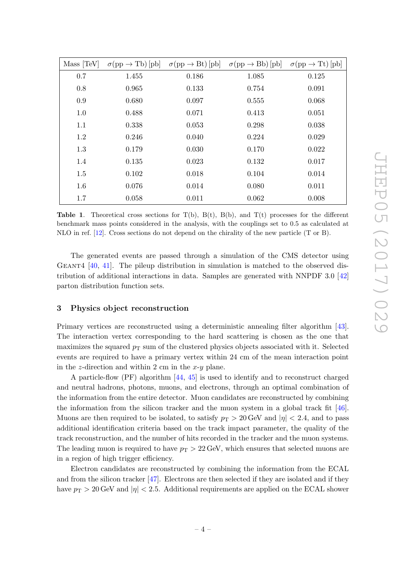| Mass [TeV] | $\sigma(pp \to Tb)$ [pb] | $\sigma(pp \to Bt)$ [pb] | $\sigma(pp \to Bb)$ [pb] | $\sigma(pp \to \mathrm{Tt})$ [pb] |
|------------|--------------------------|--------------------------|--------------------------|-----------------------------------|
| 0.7        | 1.455                    | 0.186                    | 1.085                    | 0.125                             |
| 0.8        | 0.965                    | 0.133                    | 0.754                    | 0.091                             |
| 0.9        | 0.680                    | 0.097                    | 0.555                    | 0.068                             |
| 1.0        | 0.488                    | 0.071                    | 0.413                    | 0.051                             |
| 1.1        | 0.338                    | 0.053                    | 0.298                    | 0.038                             |
| 1.2        | 0.246                    | 0.040                    | 0.224                    | 0.029                             |
| 1.3        | 0.179                    | 0.030                    | 0.170                    | 0.022                             |
| 1.4        | 0.135                    | 0.023                    | 0.132                    | 0.017                             |
| 1.5        | 0.102                    | 0.018                    | 0.104                    | 0.014                             |
| 1.6        | 0.076                    | 0.014                    | 0.080                    | 0.011                             |
| 1.7        | 0.058                    | 0.011                    | 0.062                    | 0.008                             |

<span id="page-4-1"></span>**Table 1.** Theoretical cross sections for  $T(b)$ ,  $B(t)$ ,  $B(b)$ , and  $T(t)$  processes for the different benchmark mass points considered in the analysis, with the couplings set to 0.5 as calculated at NLO in ref. [\[12\]](#page-14-12). Cross sections do not depend on the chirality of the new particle (T or B).

The generated events are passed through a simulation of the CMS detector using GEANT4  $[40, 41]$  $[40, 41]$  $[40, 41]$ . The pileup distribution in simulation is matched to the observed distribution of additional interactions in data. Samples are generated with NNPDF 3.0 [\[42\]](#page-16-5) parton distribution function sets.

### <span id="page-4-0"></span>3 Physics object reconstruction

Primary vertices are reconstructed using a deterministic annealing filter algorithm [\[43\]](#page-16-6). The interaction vertex corresponding to the hard scattering is chosen as the one that maximizes the squared  $p<sub>T</sub>$  sum of the clustered physics objects associated with it. Selected events are required to have a primary vertex within 24 cm of the mean interaction point in the z-direction and within 2 cm in the  $x-y$  plane.

A particle-flow (PF) algorithm [\[44,](#page-16-7) [45\]](#page-16-8) is used to identify and to reconstruct charged and neutral hadrons, photons, muons, and electrons, through an optimal combination of the information from the entire detector. Muon candidates are reconstructed by combining the information from the silicon tracker and the muon system in a global track fit  $[46]$ . Muons are then required to be isolated, to satisfy  $p_T > 20$  GeV and  $|\eta| < 2.4$ , and to pass additional identification criteria based on the track impact parameter, the quality of the track reconstruction, and the number of hits recorded in the tracker and the muon systems. The leading muon is required to have  $p_T > 22 \text{ GeV}$ , which ensures that selected muons are in a region of high trigger efficiency.

Electron candidates are reconstructed by combining the information from the ECAL and from the silicon tracker [\[47\]](#page-16-10). Electrons are then selected if they are isolated and if they have  $p_T > 20$  GeV and  $|\eta| < 2.5$ . Additional requirements are applied on the ECAL shower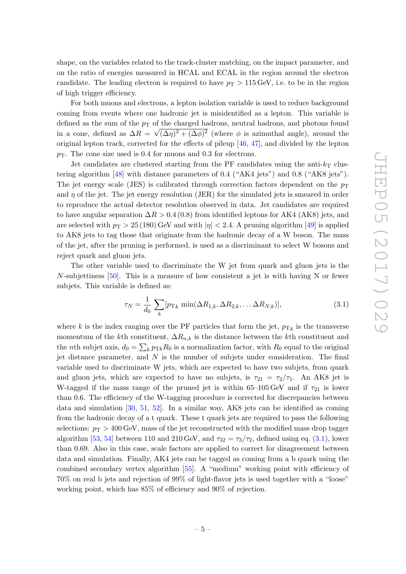shape, on the variables related to the track-cluster matching, on the impact parameter, and on the ratio of energies measured in HCAL and ECAL in the region around the electron candidate. The leading electron is required to have  $p_T > 115 \,\text{GeV}$ , i.e. to be in the region of high trigger efficiency.

For both muons and electrons, a lepton isolation variable is used to reduce background coming from events where one hadronic jet is misidentified as a lepton. This variable is defined as the sum of the  $p_T$  of the charged hadrons, neutral hadrons, and photons found in a cone, defined as  $\Delta R = \sqrt{(\Delta \eta)^2 + (\Delta \phi)^2}$  (where  $\phi$  is azimuthal angle), around the original lepton track, corrected for the effects of pileup [\[46,](#page-16-9) [47\]](#page-16-10), and divided by the lepton  $p_T$ . The cone size used is 0.4 for muons and 0.3 for electrons.

Jet candidates are clustered starting from the PF candidates using the anti- $k<sub>T</sub>$  clustering algorithm [\[48\]](#page-16-11) with distance parameters of 0.4 ("AK4 jets") and 0.8 ("AK8 jets"). The jet energy scale (JES) is calibrated through correction factors dependent on the  $p_T$ and  $\eta$  of the jet. The jet energy resolution (JER) for the simulated jets is smeared in order to reproduce the actual detector resolution observed in data. Jet candidates are required to have angular separation  $\Delta R > 0.4$  (0.8) from identified leptons for AK4 (AK8) jets, and are selected with  $p_T > 25 (180)$  GeV and with  $|\eta| < 2.4$ . A pruning algorithm [\[49\]](#page-16-12) is applied to AK8 jets to tag those that originate from the hadronic decay of a W boson. The mass of the jet, after the pruning is performed, is used as a discriminant to select W bosons and reject quark and gluon jets.

The other variable used to discriminate the W jet from quark and gluon jets is the  $N$ -subjettiness [\[50\]](#page-16-13). This is a measure of how consistent a jet is with having N or fewer subjets. This variable is defined as:

<span id="page-5-0"></span>
$$
\tau_N = \frac{1}{d_0} \sum_k [p_{\mathrm{T}_k} \min(\Delta R_{1,k}, \Delta R_{2,k}, \dots \Delta R_{N,k})], \tag{3.1}
$$

where k is the index ranging over the PF particles that form the jet,  $p_{T_k}$  is the transverse momentum of the kth constituent,  $\Delta R_{n,k}$  is the distance between the kth constituent and the *n*th subjet axis,  $d_0 = \sum_k p_{\text{Tk}} R_0$  is a normalization factor, with  $R_0$  equal to the original jet distance parameter, and  $N$  is the number of subjets under consideration. The final variable used to discriminate W jets, which are expected to have two subjets, from quark and gluon jets, which are expected to have no subjets, is  $\tau_{21} = \tau_2/\tau_1$ . An AK8 jet is W-tagged if the mass range of the pruned jet is within 65–105 GeV and if  $\tau_{21}$  is lower than 0.6. The efficiency of the W-tagging procedure is corrected for discrepancies between data and simulation [\[30,](#page-15-9) [51,](#page-16-14) [52\]](#page-16-15). In a similar way, AK8 jets can be identified as coming from the hadronic decay of a t quark. These t quark jets are required to pass the following selections:  $p_T > 400$  GeV, mass of the jet reconstructed with the modified mass drop tagger algorithm [\[53,](#page-17-0) [54\]](#page-17-1) between 110 and 210 GeV, and  $\tau_{32} = \tau_3/\tau_2$ , defined using eq. [\(3.1\)](#page-5-0), lower than 0.69. Also in this case, scale factors are applied to correct for disagreement between data and simulation. Finally, AK4 jets can be tagged as coming from a b quark using the combined secondary vertex algorithm [\[55\]](#page-17-2). A "medium" working point with efficiency of 70% on real b jets and rejection of 99% of light-flavor jets is used together with a "loose" working point, which has 85% of efficiency and 90% of rejection.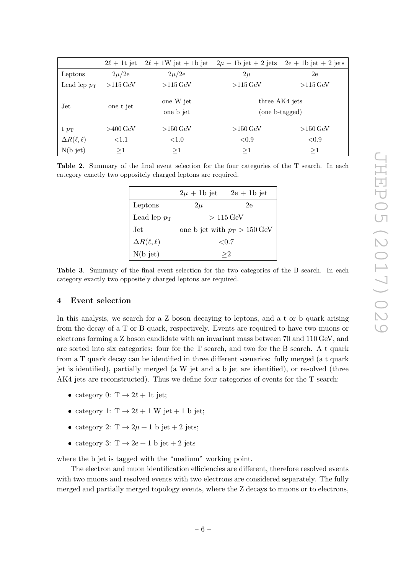|                                   | $2\ell + 1$ t jet     | $2\ell + 1W$ jet + 1b jet $2\mu + 1b$ jet + 2 jets |                                  | $2e + 1b$ jet $+ 2$ jets |
|-----------------------------------|-----------------------|----------------------------------------------------|----------------------------------|--------------------------|
| $2\mu/2e$<br>$2\mu/2e$<br>Leptons |                       | $2\mu$                                             | 2e                               |                          |
| Lead lep $p_T$                    | $>115 \,\mathrm{GeV}$ | $>115$ GeV                                         | $>115$ GeV                       | $>115$ GeV               |
| Jet                               | one t jet             | one W jet<br>one b jet                             | three AK4 jets<br>(one b-tagged) |                          |
| $t p_T$                           | $>400$ GeV            | $>150$ GeV                                         | $>150$ GeV                       | $>150$ GeV               |
| $\Delta R(\ell,\ell)$             | <1.1                  | ${<}1.0$                                           | < 0.9                            | < 0.9                    |
| $N(b$ jet)                        | $\geq1$               | $\geq1$                                            | $\geq1$<br>$\geq1$               |                          |

<span id="page-6-1"></span>Table 2. Summary of the final event selection for the four categories of the T search. In each category exactly two oppositely charged leptons are required.

|                       | $2\mu + 1b$ jet                         | $2e + 1b$ jet |  |
|-----------------------|-----------------------------------------|---------------|--|
| Leptons               | $2\mu$                                  | 2e            |  |
| Lead lep $p_T$        | $>115$ GeV                              |               |  |
| Jet                   | one b jet with $p_T > 150 \,\text{GeV}$ |               |  |
| $\Delta R(\ell,\ell)$ | ${<}0.7$                                |               |  |
| $N(b$ jet)            |                                         | >2            |  |

<span id="page-6-2"></span>Table 3. Summary of the final event selection for the two categories of the B search. In each category exactly two oppositely charged leptons are required.

#### <span id="page-6-0"></span>4 Event selection

In this analysis, we search for a Z boson decaying to leptons, and a t or b quark arising from the decay of a T or B quark, respectively. Events are required to have two muons or electrons forming a Z boson candidate with an invariant mass between 70 and 110 GeV, and are sorted into six categories: four for the T search, and two for the B search. A t quark from a T quark decay can be identified in three different scenarios: fully merged (a t quark jet is identified), partially merged (a W jet and a b jet are identified), or resolved (three AK4 jets are reconstructed). Thus we define four categories of events for the T search:

- category 0:  $T \rightarrow 2\ell + 1t$  jet;
- category 1:  $T \rightarrow 2\ell + 1$  W jet + 1 b jet;
- category 2:  $T \rightarrow 2\mu + 1$  b jet + 2 jets;
- category 3:  $T \rightarrow 2e + 1$  b jet + 2 jets

where the b jet is tagged with the "medium" working point.

The electron and muon identification efficiencies are different, therefore resolved events with two muons and resolved events with two electrons are considered separately. The fully merged and partially merged topology events, where the Z decays to muons or to electrons,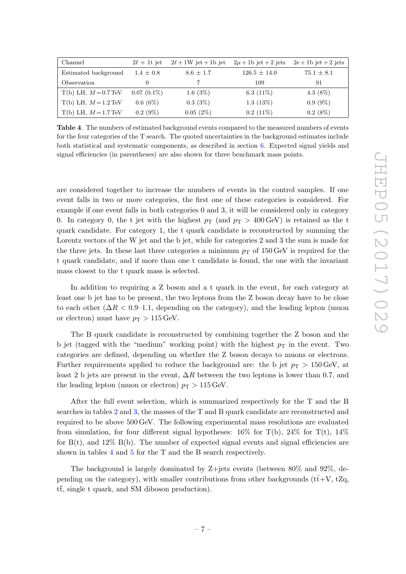| Channel                | $2\ell + 1$ t jet | $2\ell+1W$ jet + 1b jet | $2\mu + 1b$ jet + 2 jets | $2e + 1b$ jet $+ 2$ jets |
|------------------------|-------------------|-------------------------|--------------------------|--------------------------|
| Estimated background   | $1.4 \pm 0.8$     | $8.6 \pm 1.7$           | $126.5 \pm 14.0$         | $75.1 \pm 8.1$           |
| Observation            |                   |                         | 109                      | 91                       |
| $T(b)$ LH, $M=0.7$ TeV | $0.07(0.1\%)$     | 1.6(3%)                 | 6.3 $(11\%)$             | 4.3 $(8\%)$              |
| $T(b)$ LH, $M=1.2$ TeV | $0.6(6\%)$        | $0.3(3\%)$              | $1.3(13\%)$              | $0.9(9\%)$               |
| $T(b)$ LH, $M=1.7$ TeV | $0.2(9\%)$        | $0.05(2\%)$             | $0.2(11\%)$              | $0.2(8\%)$               |

<span id="page-7-0"></span>Table 4. The numbers of estimated background events compared to the measured numbers of events for the four categories of the T search. The quoted uncertainties in the background estimates include both statistical and systematic components, as described in section [6.](#page-10-0) Expected signal yields and signal efficiencies (in parentheses) are also shown for three benchmark mass points.

are considered together to increase the numbers of events in the control samples. If one event falls in two or more categories, the first one of these categories is considered. For example if one event falls in both categories 0 and 3, it will be considered only in category 0. In category 0, the t jet with the highest  $p_T$  (and  $p_T > 400 \,\text{GeV}$ ) is retained as the t quark candidate. For category 1, the t quark candidate is reconstructed by summing the Lorentz vectors of the W jet and the b jet, while for categories 2 and 3 the sum is made for the three jets. In these last three categories a minimum  $p<sub>T</sub>$  of 150 GeV is required for the t quark candidate, and if more than one t candidate is found, the one with the invariant mass closest to the t quark mass is selected.

In addition to requiring a Z boson and a t quark in the event, for each category at least one b jet has to be present, the two leptons from the Z boson decay have to be close to each other  $(\Delta R < 0.9-1.1$ , depending on the category), and the leading lepton (muon or electron) must have  $p_T > 115 \,\text{GeV}$ .

The B quark candidate is reconstructed by combining together the Z boson and the b jet (tagged with the "medium" working point) with the highest  $p<sub>T</sub>$  in the event. Two categories are defined, depending on whether the Z boson decays to muons or electrons. Further requirements applied to reduce the background are: the b jet  $p_T > 150 \text{ GeV}$ , at least 2 b jets are present in the event,  $\Delta R$  between the two leptons is lower than 0.7, and the leading lepton (muon or electron)  $p_T > 115 \,\text{GeV}$ .

After the full event selection, which is summarized respectively for the T and the B searches in tables [2](#page-6-1) and [3,](#page-6-2) the masses of the T and B quark candidate are reconstructed and required to be above 500 GeV. The following experimental mass resolutions are evaluated from simulation, for four different signal hypotheses:  $16\%$  for T(b),  $24\%$  for T(t),  $14\%$ for  $B(t)$ , and  $12\% B(b)$ . The number of expected signal events and signal efficiencies are shown in tables [4](#page-7-0) and [5](#page-9-1) for the T and the B search respectively.

The background is largely dominated by  $Z +$ jets events (between 80% and 92%, depending on the category), with smaller contributions from other backgrounds  $(t\bar{t}+V, tZq,$  $t\bar{t}$ , single t quark, and SM diboson production).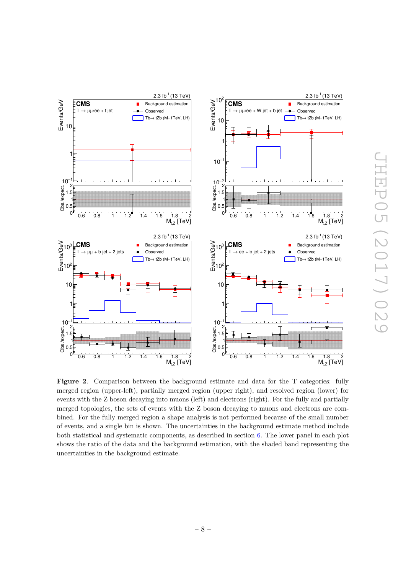

<span id="page-8-0"></span>Figure 2. Comparison between the background estimate and data for the T categories: fully merged region (upper-left), partially merged region (upper right), and resolved region (lower) for events with the Z boson decaying into muons (left) and electrons (right). For the fully and partially merged topologies, the sets of events with the Z boson decaying to muons and electrons are combined. For the fully merged region a shape analysis is not performed because of the small number of events, and a single bin is shown. The uncertainties in the background estimate method include both statistical and systematic components, as described in section [6.](#page-10-0) The lower panel in each plot shows the ratio of the data and the background estimation, with the shaded band representing the uncertainties in the background estimate.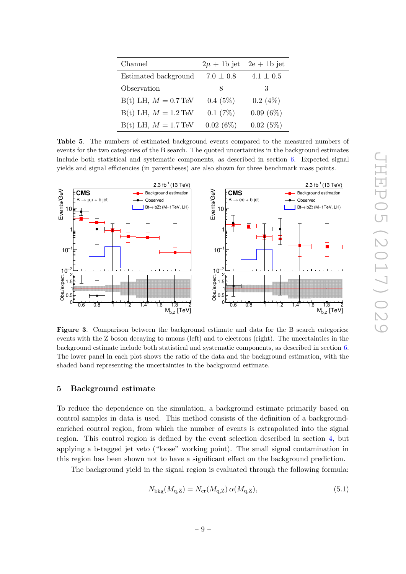| Channel                  | $2\mu + 1b$ jet | $2e + 1b$ jet |
|--------------------------|-----------------|---------------|
| Estimated background     | $7.0 \pm 0.8$   | $4.1 \pm 0.5$ |
| Observation              |                 | 3             |
| $B(t)$ LH, $M = 0.7$ TeV | $0.4(5\%)$      | $0.2(4\%)$    |
| $B(t)$ LH, $M = 1.2$ TeV | 0.1(7%)         | $0.09(6\%)$   |
| $B(t)$ LH, $M = 1.7$ TeV | $0.02(6\%)$     | $0.02(5\%)$   |

<span id="page-9-1"></span>Table 5. The numbers of estimated background events compared to the measured numbers of events for the two categories of the B search. The quoted uncertainties in the background estimates include both statistical and systematic components, as described in section [6.](#page-10-0) Expected signal yields and signal efficiencies (in parentheses) are also shown for three benchmark mass points.



<span id="page-9-2"></span>Figure 3. Comparison between the background estimate and data for the B search categories: events with the Z boson decaying to muons (left) and to electrons (right). The uncertainties in the background estimate include both statistical and systematic components, as described in section [6.](#page-10-0) The lower panel in each plot shows the ratio of the data and the background estimation, with the shaded band representing the uncertainties in the background estimate.

### <span id="page-9-0"></span>5 Background estimate

To reduce the dependence on the simulation, a background estimate primarily based on control samples in data is used. This method consists of the definition of a backgroundenriched control region, from which the number of events is extrapolated into the signal region. This control region is defined by the event selection described in section [4,](#page-6-0) but applying a b-tagged jet veto ("loose" working point). The small signal contamination in this region has been shown not to have a significant effect on the background prediction.

The background yield in the signal region is evaluated through the following formula:

$$
N_{\rm bkg}(M_{\rm q,Z}) = N_{\rm cr}(M_{\rm q,Z}) \,\alpha(M_{\rm q,Z}),\tag{5.1}
$$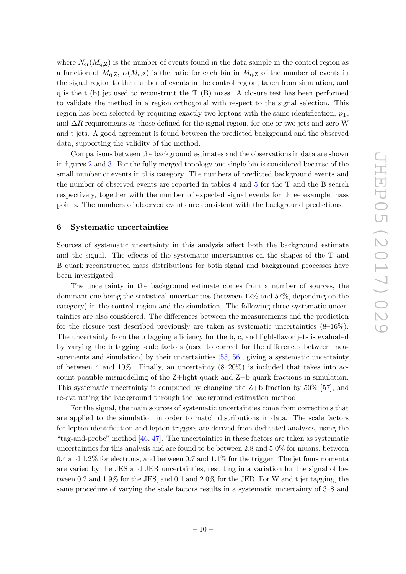where  $N_{cr}(M_{q,Z})$  is the number of events found in the data sample in the control region as a function of  $M_{q,Z}$ ,  $\alpha(M_{q,Z})$  is the ratio for each bin in  $M_{q,Z}$  of the number of events in the signal region to the number of events in the control region, taken from simulation, and q is the t  $(b)$  jet used to reconstruct the T  $(B)$  mass. A closure test has been performed to validate the method in a region orthogonal with respect to the signal selection. This region has been selected by requiring exactly two leptons with the same identification,  $p<sub>T</sub>$ , and  $\Delta R$  requirements as those defined for the signal region, for one or two jets and zero W and t jets. A good agreement is found between the predicted background and the observed data, supporting the validity of the method.

Comparisons between the background estimates and the observations in data are shown in figures [2](#page-8-0) and [3.](#page-9-2) For the fully merged topology one single bin is considered because of the small number of events in this category. The numbers of predicted background events and the number of observed events are reported in tables [4](#page-7-0) and [5](#page-9-1) for the T and the B search respectively, together with the number of expected signal events for three example mass points. The numbers of observed events are consistent with the background predictions.

#### <span id="page-10-0"></span>6 Systematic uncertainties

Sources of systematic uncertainty in this analysis affect both the background estimate and the signal. The effects of the systematic uncertainties on the shapes of the T and B quark reconstructed mass distributions for both signal and background processes have been investigated.

The uncertainty in the background estimate comes from a number of sources, the dominant one being the statistical uncertainties (between 12% and 57%, depending on the category) in the control region and the simulation. The following three systematic uncertainties are also considered. The differences between the measurements and the prediction for the closure test described previously are taken as systematic uncertainties  $(8-16\%)$ . The uncertainty from the b tagging efficiency for the b, c, and light-flavor jets is evaluated by varying the b tagging scale factors (used to correct for the differences between mea-surements and simulation) by their uncertainties [\[55,](#page-17-2) [56\]](#page-17-3), giving a systematic uncertainty of between 4 and 10%. Finally, an uncertainty  $(8-20\%)$  is included that takes into account possible mismodelling of the Z+light quark and Z+b quark fractions in simulation. This systematic uncertainty is computed by changing the  $Z+b$  fraction by  $50\%$  [\[57\]](#page-17-4), and re-evaluating the background through the background estimation method.

For the signal, the main sources of systematic uncertainties come from corrections that are applied to the simulation in order to match distributions in data. The scale factors for lepton identification and lepton triggers are derived from dedicated analyses, using the "tag-and-probe" method  $[46, 47]$  $[46, 47]$  $[46, 47]$ . The uncertainties in these factors are taken as systematic uncertainties for this analysis and are found to be between 2.8 and 5.0% for muons, between 0.4 and  $1.2\%$  for electrons, and between 0.7 and  $1.1\%$  for the trigger. The jet four-momenta are varied by the JES and JER uncertainties, resulting in a variation for the signal of between 0.2 and 1.9% for the JES, and 0.1 and 2.0% for the JER. For W and t jet tagging, the same procedure of varying the scale factors results in a systematic uncertainty of 3–8 and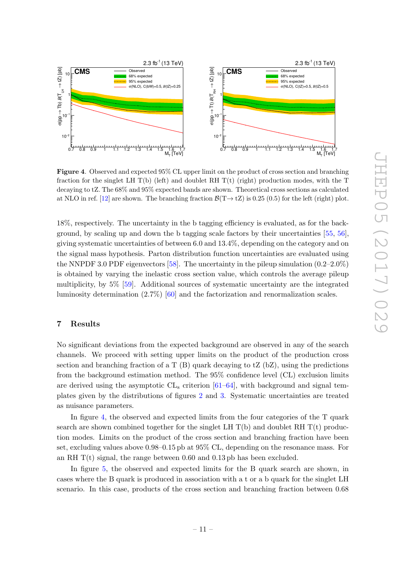

<span id="page-11-1"></span>Figure 4. Observed and expected 95% CL upper limit on the product of cross section and branching fraction for the singlet LH  $T(b)$  (left) and doublet RH  $T(t)$  (right) production modes, with the T decaying to tZ. The 68% and 95% expected bands are shown. Theoretical cross sections as calculated at NLO in ref. [\[12\]](#page-14-12) are shown. The branching fraction  $\mathcal{B}(T\to tZ)$  is 0.25 (0.5) for the left (right) plot.

18%, respectively. The uncertainty in the b tagging efficiency is evaluated, as for the background, by scaling up and down the b tagging scale factors by their uncertainties [\[55,](#page-17-2) [56\]](#page-17-3), giving systematic uncertainties of between 6.0 and 13.4%, depending on the category and on the signal mass hypothesis. Parton distribution function uncertainties are evaluated using the NNPDF 3.0 PDF eigenvectors [\[58\]](#page-17-5). The uncertainty in the pileup simulation (0.2–2.0%) is obtained by varying the inelastic cross section value, which controls the average pileup multiplicity, by 5% [\[59\]](#page-17-6). Additional sources of systematic uncertainty are the integrated luminosity determination (2.7%) [\[60\]](#page-17-7) and the factorization and renormalization scales.

### <span id="page-11-0"></span>7 Results

No significant deviations from the expected background are observed in any of the search channels. We proceed with setting upper limits on the product of the production cross section and branching fraction of a  $T(B)$  quark decaying to tZ (bZ), using the predictions from the background estimation method. The 95% confidence level (CL) exclusion limits are derived using the asymptotic  $CL<sub>s</sub>$  criterion [\[61](#page-17-8)[–64\]](#page-17-9), with background and signal templates given by the distributions of figures [2](#page-8-0) and [3.](#page-9-2) Systematic uncertainties are treated as nuisance parameters.

In figure [4,](#page-11-1) the observed and expected limits from the four categories of the T quark search are shown combined together for the singlet LH  $T(b)$  and doublet RH  $T(t)$  production modes. Limits on the product of the cross section and branching fraction have been set, excluding values above 0.98–0.15 pb at 95% CL, depending on the resonance mass. For an RH  $T(t)$  signal, the range between 0.60 and 0.13 pb has been excluded.

In figure [5,](#page-12-0) the observed and expected limits for the B quark search are shown, in cases where the B quark is produced in association with a t or a b quark for the singlet LH scenario. In this case, products of the cross section and branching fraction between 0.68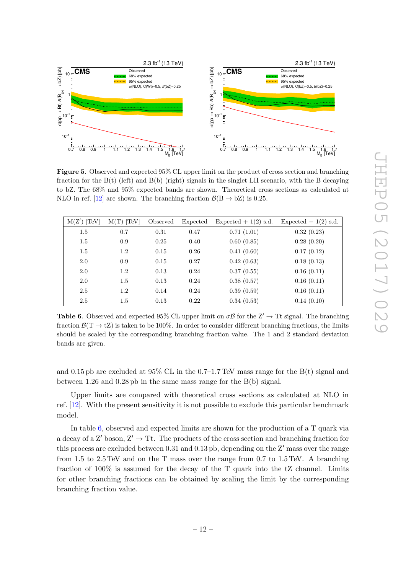

<span id="page-12-0"></span>Figure 5. Observed and expected 95% CL upper limit on the product of cross section and branching fraction for the  $B(t)$  (left) and  $B(b)$  (right) signals in the singlet LH scenario, with the B decaying to bZ. The 68% and 95% expected bands are shown. Theoretical cross sections as calculated at NLO in ref. [\[12\]](#page-14-12) are shown. The branching fraction  $\mathcal{B}(B \to bZ)$  is 0.25.

| $M(Z')$ [TeV] | $M(T)$ [TeV] | Observed | Expected | Expected $+1(2)$ s.d. | Expected $-1(2)$ s.d. |
|---------------|--------------|----------|----------|-----------------------|-----------------------|
| 1.5           | 0.7          | 0.31     | 0.47     | 0.71(1.01)            | 0.32(0.23)            |
| 1.5           | 0.9          | 0.25     | 0.40     | 0.60(0.85)            | 0.28(0.20)            |
| 1.5           | 1.2          | 0.15     | 0.26     | 0.41(0.60)            | 0.17(0.12)            |
| 2.0           | 0.9          | 0.15     | 0.27     | 0.42(0.63)            | 0.18(0.13)            |
| 2.0           | 1.2          | 0.13     | 0.24     | 0.37(0.55)            | 0.16(0.11)            |
| 2.0           | 1.5          | 0.13     | 0.24     | 0.38(0.57)            | 0.16(0.11)            |
| 2.5           | 1.2          | 0.14     | 0.24     | 0.39(0.59)            | 0.16(0.11)            |
| 2.5           | $1.5\,$      | 0.13     | 0.22     | 0.34(0.53)            | 0.14(0.10)            |

<span id="page-12-1"></span>**Table 6.** Observed and expected 95% CL upper limit on  $\sigma \mathcal{B}$  for the Z'  $\rightarrow$  Tt signal. The branching fraction  $\mathcal{B}(T \to tZ)$  is taken to be 100%. In order to consider different branching fractions, the limits should be scaled by the corresponding branching fraction value. The 1 and 2 standard deviation bands are given.

and 0.15 pb are excluded at  $95\%$  CL in the 0.7–1.7 TeV mass range for the B(t) signal and between 1.26 and 0.28 pb in the same mass range for the B(b) signal.

Upper limits are compared with theoretical cross sections as calculated at NLO in ref. [\[12\]](#page-14-12). With the present sensitivity it is not possible to exclude this particular benchmark model.

In table [6,](#page-12-1) observed and expected limits are shown for the production of a T quark via a decay of a Z' boson,  $Z' \to$  Tt. The products of the cross section and branching fraction for this process are excluded between 0.31 and 0.13 pb, depending on the  $Z'$  mass over the range from 1.5 to 2.5 TeV and on the T mass over the range from 0.7 to 1.5 TeV. A branching fraction of  $100\%$  is assumed for the decay of the T quark into the tZ channel. Limits for other branching fractions can be obtained by scaling the limit by the corresponding branching fraction value.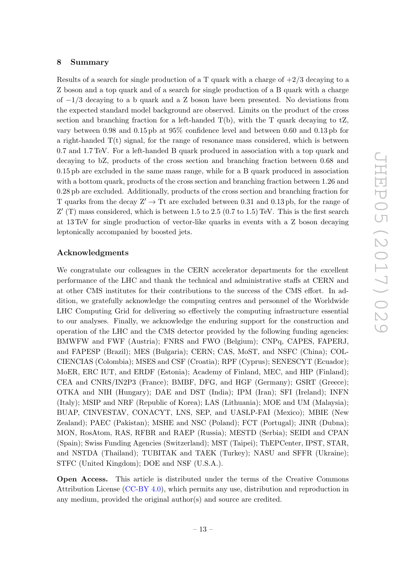#### <span id="page-13-0"></span>8 Summary

Results of a search for single production of a T quark with a charge of  $+2/3$  decaying to a Z boson and a top quark and of a search for single production of a B quark with a charge of −1/3 decaying to a b quark and a Z boson have been presented. No deviations from the expected standard model background are observed. Limits on the product of the cross section and branching fraction for a left-handed  $T(b)$ , with the T quark decaying to tZ, vary between 0.98 and 0.15 pb at 95% confidence level and between 0.60 and 0.13 pb for a right-handed  $T(t)$  signal, for the range of resonance mass considered, which is between 0.7 and 1.7 TeV. For a left-handed B quark produced in association with a top quark and decaying to bZ, products of the cross section and branching fraction between 0.68 and 0.15 pb are excluded in the same mass range, while for a B quark produced in association with a bottom quark, products of the cross section and branching fraction between 1.26 and 0.28 pb are excluded. Additionally, products of the cross section and branching fraction for T quarks from the decay  $Z' \rightarrow Tt$  are excluded between 0.31 and 0.13 pb, for the range of  $Z'$  (T) mass considered, which is between 1.5 to 2.5 (0.7 to 1.5) TeV. This is the first search at 13 TeV for single production of vector-like quarks in events with a Z boson decaying leptonically accompanied by boosted jets.

### Acknowledgments

We congratulate our colleagues in the CERN accelerator departments for the excellent performance of the LHC and thank the technical and administrative staffs at CERN and at other CMS institutes for their contributions to the success of the CMS effort. In addition, we gratefully acknowledge the computing centres and personnel of the Worldwide LHC Computing Grid for delivering so effectively the computing infrastructure essential to our analyses. Finally, we acknowledge the enduring support for the construction and operation of the LHC and the CMS detector provided by the following funding agencies: BMWFW and FWF (Austria); FNRS and FWO (Belgium); CNPq, CAPES, FAPERJ, and FAPESP (Brazil); MES (Bulgaria); CERN; CAS, MoST, and NSFC (China); COL-CIENCIAS (Colombia); MSES and CSF (Croatia); RPF (Cyprus); SENESCYT (Ecuador); MoER, ERC IUT, and ERDF (Estonia); Academy of Finland, MEC, and HIP (Finland); CEA and CNRS/IN2P3 (France); BMBF, DFG, and HGF (Germany); GSRT (Greece); OTKA and NIH (Hungary); DAE and DST (India); IPM (Iran); SFI (Ireland); INFN (Italy); MSIP and NRF (Republic of Korea); LAS (Lithuania); MOE and UM (Malaysia); BUAP, CINVESTAV, CONACYT, LNS, SEP, and UASLP-FAI (Mexico); MBIE (New Zealand); PAEC (Pakistan); MSHE and NSC (Poland); FCT (Portugal); JINR (Dubna); MON, RosAtom, RAS, RFBR and RAEP (Russia); MESTD (Serbia); SEIDI and CPAN (Spain); Swiss Funding Agencies (Switzerland); MST (Taipei); ThEPCenter, IPST, STAR, and NSTDA (Thailand); TUBITAK and TAEK (Turkey); NASU and SFFR (Ukraine); STFC (United Kingdom); DOE and NSF (U.S.A.).

Open Access. This article is distributed under the terms of the Creative Commons Attribution License [\(CC-BY 4.0\)](http://creativecommons.org/licenses/by/4.0/), which permits any use, distribution and reproduction in any medium, provided the original author(s) and source are credited.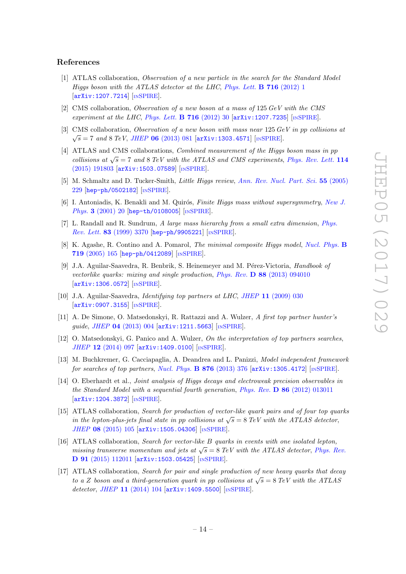#### References

- <span id="page-14-0"></span>[1] ATLAS collaboration, Observation of a new particle in the search for the Standard Model Higgs boson with the ATLAS detector at the LHC, [Phys. Lett.](http://dx.doi.org/10.1016/j.physletb.2012.08.020) B 716 (2012) 1 [[arXiv:1207.7214](https://arxiv.org/abs/1207.7214)] [IN[SPIRE](http://inspirehep.net/search?p=find+EPRINT+arXiv:1207.7214)].
- [2] CMS collaboration, Observation of a new boson at a mass of 125 GeV with the CMS experiment at the LHC, [Phys. Lett.](http://dx.doi.org/10.1016/j.physletb.2012.08.021) **B** 716 (2012) 30  $arXiv:1207.7235$  [IN[SPIRE](http://inspirehep.net/search?p=find+EPRINT+arXiv:1207.7235)].
- <span id="page-14-1"></span>[3] CMS collaboration, Observation of a new boson with mass near 125 GeV in pp collisions at  $\sqrt{s}$  = 7 and 8 TeV, JHEP 06 [\(2013\) 081](http://dx.doi.org/10.1007/JHEP06(2013)081) [[arXiv:1303.4571](https://arxiv.org/abs/1303.4571)] [IN[SPIRE](http://inspirehep.net/search?p=find+EPRINT+arXiv:1303.4571)].
- <span id="page-14-2"></span>[4] ATLAS and CMS collaborations, Combined measurement of the Higgs boson mass in pp collisions at  $\sqrt{s}$  = 7 and 8 TeV with the ATLAS and CMS experiments, [Phys. Rev. Lett.](http://dx.doi.org/10.1103/PhysRevLett.114.191803) 114 [\(2015\) 191803](http://dx.doi.org/10.1103/PhysRevLett.114.191803) [[arXiv:1503.07589](https://arxiv.org/abs/1503.07589)] [IN[SPIRE](http://inspirehep.net/search?p=find+EPRINT+arXiv:1503.07589)].
- <span id="page-14-3"></span>[5] M. Schmaltz and D. Tucker-Smith, Little Higgs review, [Ann. Rev. Nucl. Part. Sci.](http://dx.doi.org/10.1146/annurev.nucl.55.090704.151502) 55 (2005) [229](http://dx.doi.org/10.1146/annurev.nucl.55.090704.151502) [[hep-ph/0502182](https://arxiv.org/abs/hep-ph/0502182)] [IN[SPIRE](http://inspirehep.net/search?p=find+EPRINT+hep-ph/0502182)].
- <span id="page-14-4"></span>[6] I. Antoniadis, K. Benakli and M. Quirós, *Finite Higgs mass without supersymmetry*, *[New J.](http://dx.doi.org/10.1088/1367-2630/3/1/320)* Phys. 3 [\(2001\) 20](http://dx.doi.org/10.1088/1367-2630/3/1/320) [[hep-th/0108005](https://arxiv.org/abs/hep-th/0108005)] [IN[SPIRE](http://inspirehep.net/search?p=find+EPRINT+hep-th/0108005)].
- <span id="page-14-5"></span>[7] L. Randall and R. Sundrum, A large mass hierarchy from a small extra dimension, [Phys.](http://dx.doi.org/10.1103/PhysRevLett.83.3370) Rev. Lett. 83 [\(1999\) 3370](http://dx.doi.org/10.1103/PhysRevLett.83.3370) [[hep-ph/9905221](https://arxiv.org/abs/hep-ph/9905221)] [IN[SPIRE](http://inspirehep.net/search?p=find+EPRINT+hep-ph/9905221)].
- <span id="page-14-6"></span>[8] K. Agashe, R. Contino and A. Pomarol, The minimal composite Higgs model, [Nucl. Phys.](http://dx.doi.org/10.1016/j.nuclphysb.2005.04.035) B 719 [\(2005\) 165](http://dx.doi.org/10.1016/j.nuclphysb.2005.04.035) [[hep-ph/0412089](https://arxiv.org/abs/hep-ph/0412089)] [IN[SPIRE](http://inspirehep.net/search?p=find+EPRINT+hep-ph/0412089)].
- <span id="page-14-7"></span>[9] J.A. Aguilar-Saavedra, R. Benbrik, S. Heinemeyer and M. Pérez-Victoria, *Handbook of* vectorlike quarks: mixing and single production, Phys. Rev. D 88 [\(2013\) 094010](http://dx.doi.org/10.1103/PhysRevD.88.094010) [[arXiv:1306.0572](https://arxiv.org/abs/1306.0572)] [IN[SPIRE](http://inspirehep.net/search?p=find+EPRINT+arXiv:1306.0572)].
- [10] J.A. Aguilar-Saavedra, Identifying top partners at LHC, JHEP 11 [\(2009\) 030](http://dx.doi.org/10.1088/1126-6708/2009/11/030) [[arXiv:0907.3155](https://arxiv.org/abs/0907.3155)] [IN[SPIRE](http://inspirehep.net/search?p=find+EPRINT+arXiv:0907.3155)].
- [11] A. De Simone, O. Matsedonskyi, R. Rattazzi and A. Wulzer, A first top partner hunter's guide, JHEP 04 [\(2013\) 004](http://dx.doi.org/10.1007/JHEP04(2013)004) [[arXiv:1211.5663](https://arxiv.org/abs/1211.5663)] [IN[SPIRE](http://inspirehep.net/search?p=find+EPRINT+arXiv:1211.5663)].
- <span id="page-14-12"></span>[12] O. Matsedonskyi, G. Panico and A. Wulzer, On the interpretation of top partners searches, JHEP 12 [\(2014\) 097](http://dx.doi.org/10.1007/JHEP12(2014)097) [[arXiv:1409.0100](https://arxiv.org/abs/1409.0100)] [IN[SPIRE](http://inspirehep.net/search?p=find+EPRINT+arXiv:1409.0100)].
- <span id="page-14-8"></span>[13] M. Buchkremer, G. Cacciapaglia, A. Deandrea and L. Panizzi, Model independent framework for searches of top partners, [Nucl. Phys.](http://dx.doi.org/10.1016/j.nuclphysb.2013.08.010)  $\bf{B} 876$  (2013) 376 [[arXiv:1305.4172](https://arxiv.org/abs/1305.4172)] [IN[SPIRE](http://inspirehep.net/search?p=find+EPRINT+arXiv:1305.4172)].
- <span id="page-14-9"></span>[14] O. Eberhardt et al., Joint analysis of Higgs decays and electroweak precision observables in the Standard Model with a sequential fourth generation, Phys. Rev.  $\bf{D} 86$  [\(2012\) 013011](http://dx.doi.org/10.1103/PhysRevD.86.013011) [[arXiv:1204.3872](https://arxiv.org/abs/1204.3872)] [IN[SPIRE](http://inspirehep.net/search?p=find+EPRINT+arXiv:1204.3872)].
- <span id="page-14-10"></span>[15] ATLAS collaboration, Search for production of vector-like quark pairs and of four top quarks in the lepton-plus-jets final state in pp collisions at  $\sqrt{s} = 8 \text{ TeV}$  with the ATLAS detector, JHEP 08 [\(2015\) 105](http://dx.doi.org/10.1007/JHEP08(2015)105) [[arXiv:1505.04306](https://arxiv.org/abs/1505.04306)] [IN[SPIRE](http://inspirehep.net/search?p=find+EPRINT+arXiv:1505.04306)].
- [16] ATLAS collaboration, Search for vector-like B quarks in events with one isolated lepton, missing transverse momentum and jets at  $\sqrt{s} = 8$  TeV with the ATLAS detector, [Phys. Rev.](http://dx.doi.org/10.1103/PhysRevD.91.112011) D 91 [\(2015\) 112011](http://dx.doi.org/10.1103/PhysRevD.91.112011) [[arXiv:1503.05425](https://arxiv.org/abs/1503.05425)] [IN[SPIRE](http://inspirehep.net/search?p=find+EPRINT+arXiv:1503.05425)].
- <span id="page-14-11"></span>[17] ATLAS collaboration, Search for pair and single production of new heavy quarks that decay to a Z boson and a third-generation quark in pp collisions at  $\sqrt{s} = 8$  TeV with the ATLAS detector, JHEP  $11$  [\(2014\) 104](http://dx.doi.org/10.1007/JHEP11(2014)104)  $\ar{xiv:1409.5500}$  [IN[SPIRE](http://inspirehep.net/search?p=find+EPRINT+arXiv:1409.5500)].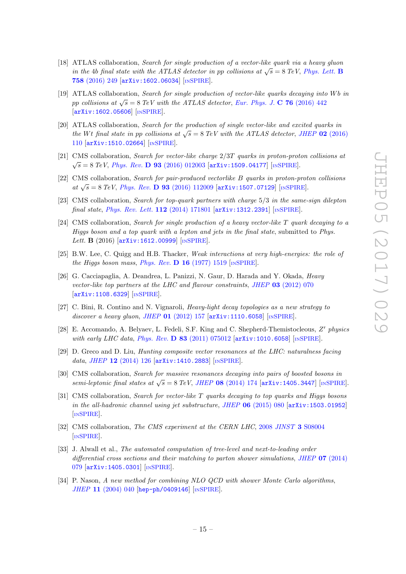- [18] ATLAS collaboration, Search for single production of a vector-like quark via a heavy gluon in the 4b final state with the ATLAS detector in pp collisions at  $\sqrt{s} = 8 \text{ TeV}$ , [Phys. Lett.](http://dx.doi.org/10.1016/j.physletb.2016.04.061) B 758 [\(2016\) 249](http://dx.doi.org/10.1016/j.physletb.2016.04.061) [[arXiv:1602.06034](https://arxiv.org/abs/1602.06034)] [IN[SPIRE](http://inspirehep.net/search?p=find+EPRINT+arXiv:1602.06034)].
- <span id="page-15-7"></span>[19] ATLAS collaboration, Search for single production of vector-like quarks decaying into Wb in pp collisions at  $\sqrt{s} = 8 \text{ TeV}$  with the ATLAS detector, [Eur. Phys. J.](http://dx.doi.org/10.1140/epjc/s10052-016-4281-8) C 76 (2016) 442 [[arXiv:1602.05606](https://arxiv.org/abs/1602.05606)] [IN[SPIRE](http://inspirehep.net/search?p=find+EPRINT+arXiv:1602.05606)].
- <span id="page-15-0"></span>[20] ATLAS collaboration, Search for the production of single vector-like and excited quarks in the Wt final state in pp collisions at  $\sqrt{s} = 8 \text{ TeV}$  with the ATLAS detector, JHEP 02 [\(2016\)](http://dx.doi.org/10.1007/JHEP02(2016)110) [110](http://dx.doi.org/10.1007/JHEP02(2016)110) [[arXiv:1510.02664](https://arxiv.org/abs/1510.02664)] [IN[SPIRE](http://inspirehep.net/search?p=find+EPRINT+arXiv:1510.02664)].
- <span id="page-15-1"></span>[21] CMS collaboration, Search for vector-like charge 2/3T quarks in proton-proton collisions at √  $\sqrt{s} = 8 \text{ TeV},$  Phys. Rev. **D 93** [\(2016\) 012003](http://dx.doi.org/10.1103/PhysRevD.93.012003) [[arXiv:1509.04177](https://arxiv.org/abs/1509.04177)] [IN[SPIRE](http://inspirehep.net/search?p=find+EPRINT+arXiv:1509.04177)].
- <span id="page-15-8"></span>[22] CMS collaboration, Search for pair-produced vectorlike B quarks in proton-proton collisions at  $\sqrt{s} = 8 \text{ TeV}$ , Phys. Rev. **D** 93 [\(2016\) 112009](http://dx.doi.org/10.1103/PhysRevD.93.112009) [[arXiv:1507.07129](https://arxiv.org/abs/1507.07129)] [IN[SPIRE](http://inspirehep.net/search?p=find+EPRINT+arXiv:1507.07129)].
- [23] CMS collaboration, Search for top-quark partners with charge 5/3 in the same-sign dilepton final state, [Phys. Rev. Lett.](http://dx.doi.org/10.1103/PhysRevLett.112.171801) 112 (2014) 171801 [[arXiv:1312.2391](https://arxiv.org/abs/1312.2391)] [IN[SPIRE](http://inspirehep.net/search?p=find+EPRINT+arXiv:1312.2391)].
- <span id="page-15-2"></span>[24] CMS collaboration, Search for single production of a heavy vector-like T quark decaying to a Higgs boson and a top quark with a lepton and jets in the final state, submitted to Phys. *Lett.* **B** (2016)  $arXiv:1612.00999$  [IN[SPIRE](http://inspirehep.net/search?p=find+EPRINT+arXiv:1612.00999)].
- <span id="page-15-3"></span>[25] B.W. Lee, C. Quigg and H.B. Thacker, Weak interactions at very high-energies: the role of the Higgs boson mass, Phys. Rev. D 16 [\(1977\) 1519](http://dx.doi.org/10.1103/PhysRevD.16.1519)  $\text{INSPIRE}$  $\text{INSPIRE}$  $\text{INSPIRE}$ .
- <span id="page-15-4"></span>[26] G. Cacciapaglia, A. Deandrea, L. Panizzi, N. Gaur, D. Harada and Y. Okada, Heavy vector-like top partners at the LHC and flavour constraints, JHEP 03 [\(2012\) 070](http://dx.doi.org/10.1007/JHEP03(2012)070) [[arXiv:1108.6329](https://arxiv.org/abs/1108.6329)] [IN[SPIRE](http://inspirehep.net/search?p=find+EPRINT+arXiv:1108.6329)].
- <span id="page-15-5"></span>[27] C. Bini, R. Contino and N. Vignaroli, Heavy-light decay topologies as a new strategy to discover a heavy gluon, JHEP  $01$  [\(2012\) 157](http://dx.doi.org/10.1007/JHEP01(2012)157)  $\text{arXiv:1110.6058}$  $\text{arXiv:1110.6058}$  $\text{arXiv:1110.6058}$  [IN[SPIRE](http://inspirehep.net/search?p=find+EPRINT+arXiv:1110.6058)].
- [28] E. Accomando, A. Belyaev, L. Fedeli, S.F. King and C. Shepherd-Themistocleous, Z' physics with early LHC data, Phys. Rev. D 83 [\(2011\) 075012](http://dx.doi.org/10.1103/PhysRevD.83.075012)  $\left[$ [arXiv:1010.6058](https://arxiv.org/abs/1010.6058) $\right]$  [IN[SPIRE](http://inspirehep.net/search?p=find+EPRINT+arXiv:1010.6058)].
- <span id="page-15-6"></span>[29] D. Greco and D. Liu, Hunting composite vector resonances at the LHC: naturalness facing data, JHEP 12 [\(2014\) 126](http://dx.doi.org/10.1007/JHEP12(2014)126)  $\left[ \text{arXiv:1410.2883} \right]$  $\left[ \text{arXiv:1410.2883} \right]$  $\left[ \text{arXiv:1410.2883} \right]$   $\left[ \text{nSPIRE} \right]$  $\left[ \text{nSPIRE} \right]$  $\left[ \text{nSPIRE} \right]$ .
- <span id="page-15-9"></span>[30] CMS collaboration, Search for massive resonances decaying into pairs of boosted bosons in semi-leptonic final states at  $\sqrt{s} = 8 \text{ TeV}$ , JHEP 08 [\(2014\) 174](http://dx.doi.org/10.1007/JHEP08(2014)174)  $[\text{arXiv}:1405.3447]$  [IN[SPIRE](http://inspirehep.net/search?p=find+EPRINT+arXiv:1405.3447)].
- <span id="page-15-10"></span>[31] CMS collaboration, Search for vector-like T quarks decaying to top quarks and Higgs bosons in the all-hadronic channel using jet substructure, JHEP 06 [\(2015\) 080](http://dx.doi.org/10.1007/JHEP06(2015)080) [[arXiv:1503.01952](https://arxiv.org/abs/1503.01952)] [IN[SPIRE](http://inspirehep.net/search?p=find+EPRINT+arXiv:1503.01952)].
- <span id="page-15-11"></span>[32] CMS collaboration, The CMS experiment at the CERN LHC, 2008 JINST 3 [S08004](http://dx.doi.org/10.1088/1748-0221/3/08/S08004) [IN[SPIRE](http://inspirehep.net/search?p=find+J+%22JINST,3,S08004%22)].
- <span id="page-15-12"></span>[33] J. Alwall et al., The automated computation of tree-level and next-to-leading order differential cross sections and their matching to parton shower simulations, JHEP 07 [\(2014\)](http://dx.doi.org/10.1007/JHEP07(2014)079) [079](http://dx.doi.org/10.1007/JHEP07(2014)079) [[arXiv:1405.0301](https://arxiv.org/abs/1405.0301)] [IN[SPIRE](http://inspirehep.net/search?p=find+EPRINT+arXiv:1405.0301)].
- <span id="page-15-13"></span>[34] P. Nason, A new method for combining NLO QCD with shower Monte Carlo algorithms, JHEP 11 [\(2004\) 040](http://dx.doi.org/10.1088/1126-6708/2004/11/040) [[hep-ph/0409146](https://arxiv.org/abs/hep-ph/0409146)] [IN[SPIRE](http://inspirehep.net/search?p=find+EPRINT+hep-ph/0409146)].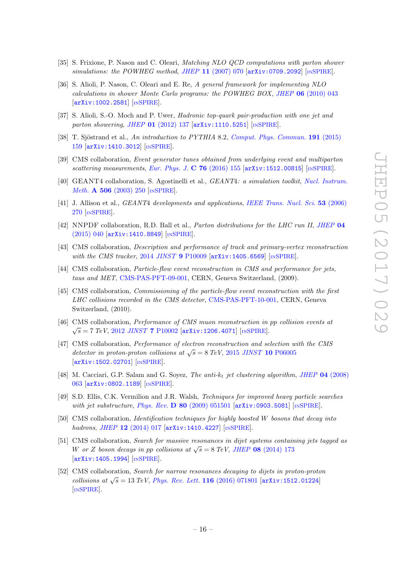- [35] S. Frixione, P. Nason and C. Oleari, Matching NLO QCD computations with parton shower simulations: the POWHEG method, JHEP 11 [\(2007\) 070](http://dx.doi.org/10.1088/1126-6708/2007/11/070)  $\left[$ [arXiv:0709.2092](https://arxiv.org/abs/0709.2092) $\right]$  [IN[SPIRE](http://inspirehep.net/search?p=find+EPRINT+arXiv:0709.2092)].
- [36] S. Alioli, P. Nason, C. Oleari and E. Re, A general framework for implementing NLO calculations in shower Monte Carlo programs: the POWHEG BOX, JHEP  $06$  [\(2010\) 043](http://dx.doi.org/10.1007/JHEP06(2010)043) [[arXiv:1002.2581](https://arxiv.org/abs/1002.2581)] [IN[SPIRE](http://inspirehep.net/search?p=find+EPRINT+arXiv:1002.2581)].
- <span id="page-16-0"></span>[37] S. Alioli, S.-O. Moch and P. Uwer, Hadronic top-quark pair-production with one jet and parton showering, JHEP 01 [\(2012\) 137](http://dx.doi.org/10.1007/JHEP01(2012)137) [[arXiv:1110.5251](https://arxiv.org/abs/1110.5251)] [IN[SPIRE](http://inspirehep.net/search?p=find+EPRINT+arXiv:1110.5251)].
- <span id="page-16-1"></span>[38] T. Sjöstrand et al., An introduction to PYTHIA 8.2, [Comput. Phys. Commun.](http://dx.doi.org/10.1016/j.cpc.2015.01.024) 191 (2015) [159](http://dx.doi.org/10.1016/j.cpc.2015.01.024) [[arXiv:1410.3012](https://arxiv.org/abs/1410.3012)] [IN[SPIRE](http://inspirehep.net/search?p=find+EPRINT+arXiv:1410.3012)].
- <span id="page-16-2"></span>[39] CMS collaboration, Event generator tunes obtained from underlying event and multiparton scattering measurements, [Eur. Phys. J.](http://dx.doi.org/10.1140/epjc/s10052-016-3988-x) C  $76$  (2016) 155 [[arXiv:1512.00815](https://arxiv.org/abs/1512.00815)] [IN[SPIRE](http://inspirehep.net/search?p=find+EPRINT+arXiv:1512.00815)].
- <span id="page-16-3"></span>[40] GEANT4 collaboration, S. Agostinelli et al., GEANT4: a simulation toolkit, [Nucl. Instrum.](http://dx.doi.org/10.1016/S0168-9002(03)01368-8) Meth. A 506 [\(2003\) 250](http://dx.doi.org/10.1016/S0168-9002(03)01368-8) [IN[SPIRE](http://inspirehep.net/search?p=find+J+%22Nucl.Instrum.Meth.,A506,250%22)].
- <span id="page-16-4"></span>[41] J. Allison et al., *GEANT4 developments and applications, [IEEE Trans. Nucl. Sci.](http://dx.doi.org/10.1109/TNS.2006.869826)* 53 (2006) [270](http://dx.doi.org/10.1109/TNS.2006.869826) [IN[SPIRE](http://inspirehep.net/search?p=find+J+%22IEEETrans.Nucl.Sci.,53,270%22)].
- <span id="page-16-5"></span>[42] NNPDF collaboration, R.D. Ball et al., Parton distributions for the LHC run II, [JHEP](http://dx.doi.org/10.1007/JHEP04(2015)040) 04 [\(2015\) 040](http://dx.doi.org/10.1007/JHEP04(2015)040) [[arXiv:1410.8849](https://arxiv.org/abs/1410.8849)] [IN[SPIRE](http://inspirehep.net/search?p=find+EPRINT+arXiv:1410.8849)].
- <span id="page-16-6"></span>[43] CMS collaboration, Description and performance of track and primary-vertex reconstruction with the CMS tracker, 2014 JINST 9 [P10009](http://dx.doi.org/10.1088/1748-0221/9/10/P10009) [[arXiv:1405.6569](https://arxiv.org/abs/1405.6569)] [IN[SPIRE](http://inspirehep.net/search?p=find+EPRINT+arXiv:1405.6569)].
- <span id="page-16-7"></span>[44] CMS collaboration, Particle-flow event reconstruction in CMS and performance for jets, taus and MET, [CMS-PAS-PFT-09-001,](http://cds.cern.ch/record/1194487) CERN, Geneva Switzerland, (2009).
- <span id="page-16-8"></span>[45] CMS collaboration, Commissioning of the particle-flow event reconstruction with the first LHC collisions recorded in the CMS detector, [CMS-PAS-PFT-10-001,](http://cds.cern.ch/record/1247373) CERN, Geneva Switzerland, (2010).
- <span id="page-16-9"></span>[46] CMS collaboration, Performance of CMS muon reconstruction in pp collision events at  $\sqrt{s}$  = 7 TeV, 2012 JINST 7 [P10002](http://dx.doi.org/10.1088/1748-0221/7/10/P10002) [[arXiv:1206.4071](https://arxiv.org/abs/1206.4071)] [IN[SPIRE](http://inspirehep.net/search?p=find+EPRINT+arXiv:1206.4071)].
- <span id="page-16-10"></span>[47] CMS collaboration, Performance of electron reconstruction and selection with the CMS detector in proton-proton collisions at  $\sqrt{s} = 8 \text{ TeV}$ , 2015 JINST 10 [P06005](http://dx.doi.org/10.1088/1748-0221/10/06/P06005) [[arXiv:1502.02701](https://arxiv.org/abs/1502.02701)] [IN[SPIRE](http://inspirehep.net/search?p=find+EPRINT+arXiv:1502.02701)].
- <span id="page-16-11"></span>[48] M. Cacciari, G.P. Salam and G. Soyez, The anti- $k_t$  jet clustering algorithm, JHEP 04 [\(2008\)](http://dx.doi.org/10.1088/1126-6708/2008/04/063) [063](http://dx.doi.org/10.1088/1126-6708/2008/04/063) [[arXiv:0802.1189](https://arxiv.org/abs/0802.1189)] [IN[SPIRE](http://inspirehep.net/search?p=find+EPRINT+arXiv:0802.1189)].
- <span id="page-16-12"></span>[49] S.D. Ellis, C.K. Vermilion and J.R. Walsh, Techniques for improved heavy particle searches with jet substructure, Phys. Rev. D  $80$  [\(2009\) 051501](http://dx.doi.org/10.1103/PhysRevD.80.051501) [[arXiv:0903.5081](https://arxiv.org/abs/0903.5081)] [IN[SPIRE](http://inspirehep.net/search?p=find+EPRINT+arXiv:0903.5081)].
- <span id="page-16-13"></span>[50] CMS collaboration, *Identification techniques for highly boosted W bosons that decay into* hadrons, JHEP 12 [\(2014\) 017](http://dx.doi.org/10.1007/JHEP12(2014)017) [[arXiv:1410.4227](https://arxiv.org/abs/1410.4227)] [IN[SPIRE](http://inspirehep.net/search?p=find+EPRINT+arXiv:1410.4227)].
- <span id="page-16-14"></span>[51] CMS collaboration, Search for massive resonances in dijet systems containing jets tagged as We or Z boson decays in pp collisions at  $\sqrt{s} = 8$  TeV, JHEP 08 [\(2014\) 173](http://dx.doi.org/10.1007/JHEP08(2014)173) [[arXiv:1405.1994](https://arxiv.org/abs/1405.1994)] [IN[SPIRE](http://inspirehep.net/search?p=find+EPRINT+arXiv:1405.1994)].
- <span id="page-16-15"></span>[52] CMS collaboration, Search for narrow resonances decaying to dijets in proton-proton collisions at  $\sqrt{s} = 13 \text{ TeV}$ , [Phys. Rev. Lett.](http://dx.doi.org/10.1103/PhysRevLett.116.071801) **116** (2016) 071801 [[arXiv:1512.01224](https://arxiv.org/abs/1512.01224)] [IN[SPIRE](http://inspirehep.net/search?p=find+EPRINT+arXiv:1512.01224)].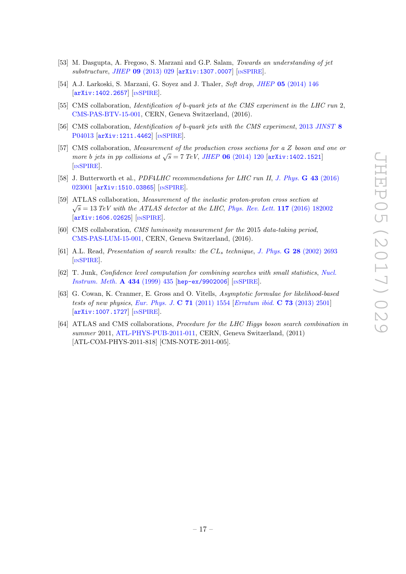- <span id="page-17-0"></span>[53] M. Dasgupta, A. Fregoso, S. Marzani and G.P. Salam, Towards an understanding of jet substructure, JHEP 09 [\(2013\) 029](http://dx.doi.org/10.1007/JHEP09(2013)029) [[arXiv:1307.0007](https://arxiv.org/abs/1307.0007)] [IN[SPIRE](http://inspirehep.net/search?p=find+EPRINT+arXiv:1307.0007)].
- <span id="page-17-1"></span>[54] A.J. Larkoski, S. Marzani, G. Soyez and J. Thaler, Soft drop, JHEP 05 [\(2014\) 146](http://dx.doi.org/10.1007/JHEP05(2014)146) [[arXiv:1402.2657](https://arxiv.org/abs/1402.2657)] [IN[SPIRE](http://inspirehep.net/search?p=find+EPRINT+arXiv:1402.2657)].
- <span id="page-17-2"></span>[55] CMS collaboration, *Identification of b-quark jets at the CMS experiment in the LHC run* 2, [CMS-PAS-BTV-15-001,](http://cds.cern.ch/record/2138504) CERN, Geneva Switzerland, (2016).
- <span id="page-17-3"></span>[56] CMS collaboration, *Identification of b-quark jets with the CMS experiment*, 2013 *[JINST](http://dx.doi.org/10.1088/1748-0221/8/04/P04013)* 8 [P04013](http://dx.doi.org/10.1088/1748-0221/8/04/P04013) [[arXiv:1211.4462](https://arxiv.org/abs/1211.4462)] [IN[SPIRE](http://inspirehep.net/search?p=find+EPRINT+arXiv:1211.4462)].
- <span id="page-17-4"></span>[57] CMS collaboration, Measurement of the production cross sections for a Z boson and one or more b jets in pp collisions at  $\sqrt{s} = 7 \text{ TeV}$ , JHEP 06 [\(2014\) 120](http://dx.doi.org/10.1007/JHEP06(2014)120) [[arXiv:1402.1521](https://arxiv.org/abs/1402.1521)] [IN[SPIRE](http://inspirehep.net/search?p=find+EPRINT+arXiv:1402.1521)].
- <span id="page-17-5"></span>[58] J. Butterworth et al., PDF4LHC recommendations for LHC run II, [J. Phys.](http://dx.doi.org/10.1088/0954-3899/43/2/023001) G 43 (2016) [023001](http://dx.doi.org/10.1088/0954-3899/43/2/023001) [[arXiv:1510.03865](https://arxiv.org/abs/1510.03865)] [IN[SPIRE](http://inspirehep.net/search?p=find+EPRINT+arXiv:1510.03865)].
- <span id="page-17-6"></span>[59] ATLAS collaboration, Measurement of the inelastic proton-proton cross section at √  $\sqrt{s} = 13 \text{ TeV}$  with the ATLAS detector at the LHC, [Phys. Rev. Lett.](http://dx.doi.org/10.1103/PhysRevLett.117.182002) 117 (2016) 182002 [[arXiv:1606.02625](https://arxiv.org/abs/1606.02625)] [IN[SPIRE](http://inspirehep.net/search?p=find+EPRINT+arXiv:1606.02625)].
- <span id="page-17-7"></span>[60] CMS collaboration, CMS luminosity measurement for the 2015 data-taking period, [CMS-PAS-LUM-15-001,](http://cds.cern.ch/record/2138682) CERN, Geneva Switzerland, (2016).
- <span id="page-17-8"></span>[61] A.L. Read, Presentation of search results: the  $CL<sub>s</sub>$  technique, J. Phys. **G 28** [\(2002\) 2693](http://dx.doi.org/10.1088/0954-3899/28/10/313) [IN[SPIRE](http://inspirehep.net/search?p=find+J+%22J.Phys.,G28,2693%22)].
- [62] T. Junk, Confidence level computation for combining searches with small statistics, [Nucl.](http://dx.doi.org/10.1016/S0168-9002(99)00498-2) [Instrum. Meth.](http://dx.doi.org/10.1016/S0168-9002(99)00498-2) A 434 (1999) 435 [[hep-ex/9902006](https://arxiv.org/abs/hep-ex/9902006)] [IN[SPIRE](http://inspirehep.net/search?p=find+EPRINT+hep-ex/9902006)].
- [63] G. Cowan, K. Cranmer, E. Gross and O. Vitells, Asymptotic formulae for likelihood-based tests of new physics, [Eur. Phys. J.](http://dx.doi.org/10.1140/epjc/s10052-011-1554-0) C 71 (2011) 1554 [[Erratum ibid.](http://dx.doi.org/10.1140/epjc/s10052-013-2501-z) C 73 (2013) 2501] [[arXiv:1007.1727](https://arxiv.org/abs/1007.1727)] [IN[SPIRE](http://inspirehep.net/search?p=find+EPRINT+arXiv:1007.1727)].
- <span id="page-17-9"></span>[64] ATLAS and CMS collaborations, Procedure for the LHC Higgs boson search combination in summer 2011, [ATL-PHYS-PUB-2011-011,](http://cds.cern.ch/record/1375842) CERN, Geneva Switzerland, (2011) [ATL-COM-PHYS-2011-818] [CMS-NOTE-2011-005].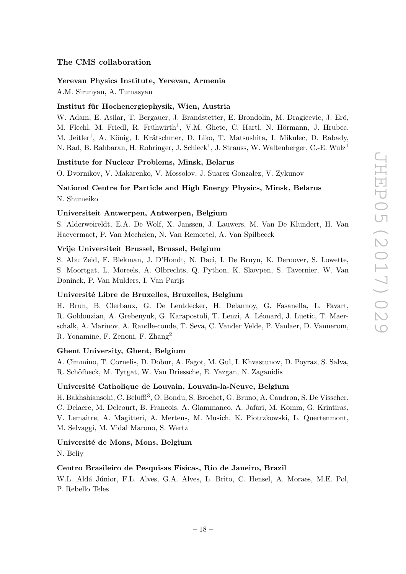### The CMS collaboration

#### <span id="page-18-0"></span>Yerevan Physics Institute, Yerevan, Armenia

A.M. Sirunyan, A. Tumasyan

#### Institut für Hochenergiephysik, Wien, Austria

W. Adam, E. Asilar, T. Bergauer, J. Brandstetter, E. Brondolin, M. Dragicevic, J. Erö, M. Flechl, M. Friedl, R. Frühwirth<sup>1</sup>, V.M. Ghete, C. Hartl, N. Hörmann, J. Hrubec, M. Jeitler<sup>1</sup>, A. König, I. Krätschmer, D. Liko, T. Matsushita, I. Mikulec, D. Rabady, N. Rad, B. Rahbaran, H. Rohringer, J. Schieck<sup>1</sup>, J. Strauss, W. Waltenberger, C.-E. Wulz<sup>1</sup>

#### Institute for Nuclear Problems, Minsk, Belarus

O. Dvornikov, V. Makarenko, V. Mossolov, J. Suarez Gonzalez, V. Zykunov

## National Centre for Particle and High Energy Physics, Minsk, Belarus N. Shumeiko

### Universiteit Antwerpen, Antwerpen, Belgium

S. Alderweireldt, E.A. De Wolf, X. Janssen, J. Lauwers, M. Van De Klundert, H. Van Haevermaet, P. Van Mechelen, N. Van Remortel, A. Van Spilbeeck

## Vrije Universiteit Brussel, Brussel, Belgium

S. Abu Zeid, F. Blekman, J. D'Hondt, N. Daci, I. De Bruyn, K. Deroover, S. Lowette, S. Moortgat, L. Moreels, A. Olbrechts, Q. Python, K. Skovpen, S. Tavernier, W. Van Doninck, P. Van Mulders, I. Van Parijs

### Universit´e Libre de Bruxelles, Bruxelles, Belgium

H. Brun, B. Clerbaux, G. De Lentdecker, H. Delannoy, G. Fasanella, L. Favart, R. Goldouzian, A. Grebenyuk, G. Karapostoli, T. Lenzi, A. Léonard, J. Luetic, T. Maerschalk, A. Marinov, A. Randle-conde, T. Seva, C. Vander Velde, P. Vanlaer, D. Vannerom, R. Yonamine, F. Zenoni, F. Zhang<sup>2</sup>

## Ghent University, Ghent, Belgium

A. Cimmino, T. Cornelis, D. Dobur, A. Fagot, M. Gul, I. Khvastunov, D. Poyraz, S. Salva, R. Schöfbeck, M. Tytgat, W. Van Driessche, E. Yazgan, N. Zaganidis

## Université Catholique de Louvain, Louvain-la-Neuve, Belgium

H. Bakhshiansohi, C. Beluffi<sup>3</sup>, O. Bondu, S. Brochet, G. Bruno, A. Caudron, S. De Visscher, C. Delaere, M. Delcourt, B. Francois, A. Giammanco, A. Jafari, M. Komm, G. Krintiras, V. Lemaitre, A. Magitteri, A. Mertens, M. Musich, K. Piotrzkowski, L. Quertenmont, M. Selvaggi, M. Vidal Marono, S. Wertz

#### Université de Mons, Mons, Belgium

N. Beliy

#### Centro Brasileiro de Pesquisas Fisicas, Rio de Janeiro, Brazil

W.L. Aldá Júnior, F.L. Alves, G.A. Alves, L. Brito, C. Hensel, A. Moraes, M.E. Pol, P. Rebello Teles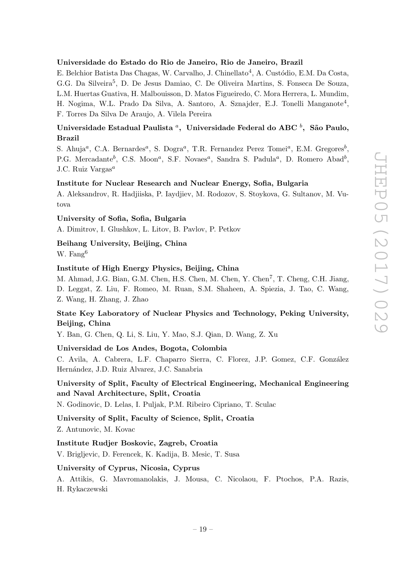#### Universidade do Estado do Rio de Janeiro, Rio de Janeiro, Brazil

E. Belchior Batista Das Chagas, W. Carvalho, J. Chinellato<sup>4</sup>, A. Custódio, E.M. Da Costa, G.G. Da Silveira<sup>5</sup>, D. De Jesus Damiao, C. De Oliveira Martins, S. Fonseca De Souza, L.M. Huertas Guativa, H. Malbouisson, D. Matos Figueiredo, C. Mora Herrera, L. Mundim, H. Nogima, W.L. Prado Da Silva, A. Santoro, A. Sznajder, E.J. Tonelli Manganote<sup>4</sup>, F. Torres Da Silva De Araujo, A. Vilela Pereira

## Universidade Estadual Paulista <sup>a</sup>, Universidade Federal do ABC  $^b$ , São Paulo, Brazil

S. Ahuja<sup>a</sup>, C.A. Bernardes<sup>a</sup>, S. Dogra<sup>a</sup>, T.R. Fernandez Perez Tomei<sup>a</sup>, E.M. Gregores<sup>b</sup>, P.G. Mercadante<sup>b</sup>, C.S. Moon<sup>a</sup>, S.F. Novaes<sup>a</sup>, Sandra S. Padula<sup>a</sup>, D. Romero Abad<sup>b</sup>, J.C. Ruiz Vargas $^a$ 

#### Institute for Nuclear Research and Nuclear Energy, Sofia, Bulgaria

A. Aleksandrov, R. Hadjiiska, P. Iaydjiev, M. Rodozov, S. Stoykova, G. Sultanov, M. Vutova

#### University of Sofia, Sofia, Bulgaria

A. Dimitrov, I. Glushkov, L. Litov, B. Pavlov, P. Petkov

# Beihang University, Beijing, China

W. Fang<sup>6</sup>

## Institute of High Energy Physics, Beijing, China

M. Ahmad, J.G. Bian, G.M. Chen, H.S. Chen, M. Chen, Y. Chen<sup>7</sup>, T. Cheng, C.H. Jiang, D. Leggat, Z. Liu, F. Romeo, M. Ruan, S.M. Shaheen, A. Spiezia, J. Tao, C. Wang, Z. Wang, H. Zhang, J. Zhao

## State Key Laboratory of Nuclear Physics and Technology, Peking University, Beijing, China

Y. Ban, G. Chen, Q. Li, S. Liu, Y. Mao, S.J. Qian, D. Wang, Z. Xu

### Universidad de Los Andes, Bogota, Colombia

C. Avila, A. Cabrera, L.F. Chaparro Sierra, C. Florez, J.P. Gomez, C.F. González Hernández, J.D. Ruiz Alvarez, J.C. Sanabria

## University of Split, Faculty of Electrical Engineering, Mechanical Engineering and Naval Architecture, Split, Croatia

N. Godinovic, D. Lelas, I. Puljak, P.M. Ribeiro Cipriano, T. Sculac

#### University of Split, Faculty of Science, Split, Croatia

Z. Antunovic, M. Kovac

Institute Rudjer Boskovic, Zagreb, Croatia

V. Brigljevic, D. Ferencek, K. Kadija, B. Mesic, T. Susa

#### University of Cyprus, Nicosia, Cyprus

A. Attikis, G. Mavromanolakis, J. Mousa, C. Nicolaou, F. Ptochos, P.A. Razis, H. Rykaczewski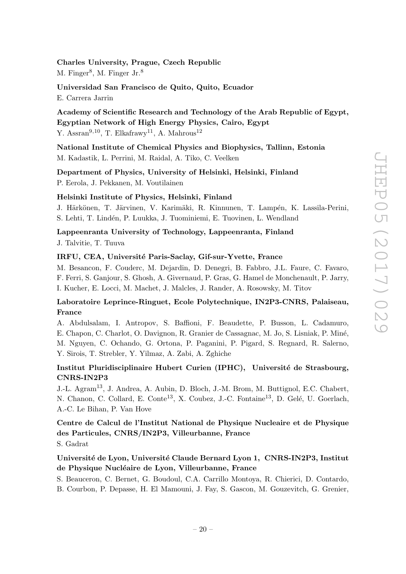## Charles University, Prague, Czech Republic

M. Finger<sup>8</sup>, M. Finger  $Jr.^8$ 

Universidad San Francisco de Quito, Quito, Ecuador E. Carrera Jarrin

Academy of Scientific Research and Technology of the Arab Republic of Egypt, Egyptian Network of High Energy Physics, Cairo, Egypt Y. Assran<sup>9,10</sup>, T. Elkafrawy<sup>11</sup>, A. Mahrous<sup>12</sup>

National Institute of Chemical Physics and Biophysics, Tallinn, Estonia M. Kadastik, L. Perrini, M. Raidal, A. Tiko, C. Veelken

Department of Physics, University of Helsinki, Helsinki, Finland

P. Eerola, J. Pekkanen, M. Voutilainen

## Helsinki Institute of Physics, Helsinki, Finland

J. Härkönen, T. Järvinen, V. Karimäki, R. Kinnunen, T. Lampén, K. Lassila-Perini, S. Lehti, T. Lind´en, P. Luukka, J. Tuominiemi, E. Tuovinen, L. Wendland

Lappeenranta University of Technology, Lappeenranta, Finland J. Talvitie, T. Tuuva

## IRFU, CEA, Université Paris-Saclay, Gif-sur-Yvette, France

M. Besancon, F. Couderc, M. Dejardin, D. Denegri, B. Fabbro, J.L. Faure, C. Favaro, F. Ferri, S. Ganjour, S. Ghosh, A. Givernaud, P. Gras, G. Hamel de Monchenault, P. Jarry, I. Kucher, E. Locci, M. Machet, J. Malcles, J. Rander, A. Rosowsky, M. Titov

## Laboratoire Leprince-Ringuet, Ecole Polytechnique, IN2P3-CNRS, Palaiseau, France

A. Abdulsalam, I. Antropov, S. Baffioni, F. Beaudette, P. Busson, L. Cadamuro, E. Chapon, C. Charlot, O. Davignon, R. Granier de Cassagnac, M. Jo, S. Lisniak, P. Miné, M. Nguyen, C. Ochando, G. Ortona, P. Paganini, P. Pigard, S. Regnard, R. Salerno, Y. Sirois, T. Strebler, Y. Yilmaz, A. Zabi, A. Zghiche

## Institut Pluridisciplinaire Hubert Curien (IPHC), Université de Strasbourg, CNRS-IN2P3

J.-L. Agram13, J. Andrea, A. Aubin, D. Bloch, J.-M. Brom, M. Buttignol, E.C. Chabert, N. Chanon, C. Collard, E. Conte<sup>13</sup>, X. Coubez, J.-C. Fontaine<sup>13</sup>, D. Gelé, U. Goerlach, A.-C. Le Bihan, P. Van Hove

Centre de Calcul de l'Institut National de Physique Nucleaire et de Physique des Particules, CNRS/IN2P3, Villeurbanne, France S. Gadrat

## Université de Lyon, Université Claude Bernard Lyon 1, CNRS-IN2P3, Institut de Physique Nucléaire de Lyon, Villeurbanne, France

S. Beauceron, C. Bernet, G. Boudoul, C.A. Carrillo Montoya, R. Chierici, D. Contardo, B. Courbon, P. Depasse, H. El Mamouni, J. Fay, S. Gascon, M. Gouzevitch, G. Grenier,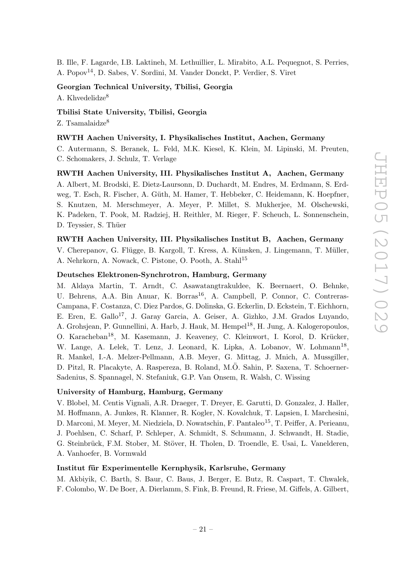B. Ille, F. Lagarde, I.B. Laktineh, M. Lethuillier, L. Mirabito, A.L. Pequegnot, S. Perries, A. Popov14, D. Sabes, V. Sordini, M. Vander Donckt, P. Verdier, S. Viret

## Georgian Technical University, Tbilisi, Georgia

A. Khvedelidze $8$ 

#### Tbilisi State University, Tbilisi, Georgia

Z. Tsamalaidze<sup>8</sup>

### RWTH Aachen University, I. Physikalisches Institut, Aachen, Germany

C. Autermann, S. Beranek, L. Feld, M.K. Kiesel, K. Klein, M. Lipinski, M. Preuten, C. Schomakers, J. Schulz, T. Verlage

#### RWTH Aachen University, III. Physikalisches Institut A, Aachen, Germany

A. Albert, M. Brodski, E. Dietz-Laursonn, D. Duchardt, M. Endres, M. Erdmann, S. Erdweg, T. Esch, R. Fischer, A. Güth, M. Hamer, T. Hebbeker, C. Heidemann, K. Hoepfner, S. Knutzen, M. Merschmeyer, A. Meyer, P. Millet, S. Mukherjee, M. Olschewski, K. Padeken, T. Pook, M. Radziej, H. Reithler, M. Rieger, F. Scheuch, L. Sonnenschein, D. Teyssier, S. Thüer

#### RWTH Aachen University, III. Physikalisches Institut B, Aachen, Germany

V. Cherepanov, G. Flügge, B. Kargoll, T. Kress, A. Künsken, J. Lingemann, T. Müller, A. Nehrkorn, A. Nowack, C. Pistone, O. Pooth, A. Stahl<sup>15</sup>

## Deutsches Elektronen-Synchrotron, Hamburg, Germany

M. Aldaya Martin, T. Arndt, C. Asawatangtrakuldee, K. Beernaert, O. Behnke, U. Behrens, A.A. Bin Anuar, K. Borras<sup>16</sup>, A. Campbell, P. Connor, C. Contreras-Campana, F. Costanza, C. Diez Pardos, G. Dolinska, G. Eckerlin, D. Eckstein, T. Eichhorn, E. Eren, E. Gallo<sup>17</sup>, J. Garay Garcia, A. Geiser, A. Gizhko, J.M. Grados Luyando, A. Grohsjean, P. Gunnellini, A. Harb, J. Hauk, M. Hempel<sup>18</sup>, H. Jung, A. Kalogeropoulos, O. Karacheban<sup>18</sup>, M. Kasemann, J. Keaveney, C. Kleinwort, I. Korol, D. Krücker, W. Lange, A. Lelek, T. Lenz, J. Leonard, K. Lipka, A. Lobanov, W. Lohmann<sup>18</sup>, R. Mankel, I.-A. Melzer-Pellmann, A.B. Meyer, G. Mittag, J. Mnich, A. Mussgiller, D. Pitzl, R. Placakyte, A. Raspereza, B. Roland, M.O. Sahin, P. Saxena, T. Schoerner-Sadenius, S. Spannagel, N. Stefaniuk, G.P. Van Onsem, R. Walsh, C. Wissing

### University of Hamburg, Hamburg, Germany

V. Blobel, M. Centis Vignali, A.R. Draeger, T. Dreyer, E. Garutti, D. Gonzalez, J. Haller, M. Hoffmann, A. Junkes, R. Klanner, R. Kogler, N. Kovalchuk, T. Lapsien, I. Marchesini, D. Marconi, M. Meyer, M. Niedziela, D. Nowatschin, F. Pantaleo<sup>15</sup>, T. Peiffer, A. Perieanu, J. Poehlsen, C. Scharf, P. Schleper, A. Schmidt, S. Schumann, J. Schwandt, H. Stadie, G. Steinbrück, F.M. Stober, M. Stöver, H. Tholen, D. Troendle, E. Usai, L. Vanelderen, A. Vanhoefer, B. Vormwald

#### Institut für Experimentelle Kernphysik, Karlsruhe, Germany

M. Akbiyik, C. Barth, S. Baur, C. Baus, J. Berger, E. Butz, R. Caspart, T. Chwalek, F. Colombo, W. De Boer, A. Dierlamm, S. Fink, B. Freund, R. Friese, M. Giffels, A. Gilbert,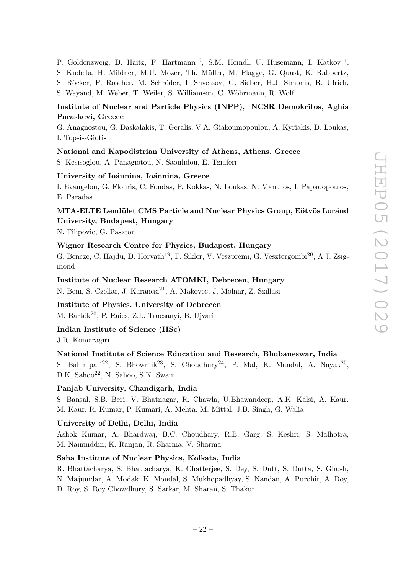P. Goldenzweig, D. Haitz, F. Hartmann<sup>15</sup>, S.M. Heindl, U. Husemann, I. Katkov<sup>14</sup>, S. Kudella, H. Mildner, M.U. Mozer, Th. Müller, M. Plagge, G. Quast, K. Rabbertz, S. Röcker, F. Roscher, M. Schröder, I. Shvetsov, G. Sieber, H.J. Simonis, R. Ulrich, S. Wayand, M. Weber, T. Weiler, S. Williamson, C. Wöhrmann, R. Wolf

## Institute of Nuclear and Particle Physics (INPP), NCSR Demokritos, Aghia Paraskevi, Greece

G. Anagnostou, G. Daskalakis, T. Geralis, V.A. Giakoumopoulou, A. Kyriakis, D. Loukas, I. Topsis-Giotis

## National and Kapodistrian University of Athens, Athens, Greece

S. Kesisoglou, A. Panagiotou, N. Saoulidou, E. Tziaferi

## University of Ioánnina, Ioánnina, Greece

I. Evangelou, G. Flouris, C. Foudas, P. Kokkas, N. Loukas, N. Manthos, I. Papadopoulos, E. Paradas

## MTA-ELTE Lendület CMS Particle and Nuclear Physics Group, Eötvös Loránd University, Budapest, Hungary

N. Filipovic, G. Pasztor

## Wigner Research Centre for Physics, Budapest, Hungary

G. Bencze, C. Hajdu, D. Horvath<sup>19</sup>, F. Sikler, V. Veszpremi, G. Vesztergombi<sup>20</sup>, A.J. Zsigmond

## Institute of Nuclear Research ATOMKI, Debrecen, Hungary

N. Beni, S. Czellar, J. Karancsi<sup>21</sup>, A. Makovec, J. Molnar, Z. Szillasi

Institute of Physics, University of Debrecen M. Bartók<sup>20</sup>, P. Raics, Z.L. Trocsanyi, B. Ujvari

## Indian Institute of Science (IISc)

J.R. Komaragiri

## National Institute of Science Education and Research, Bhubaneswar, India

S. Bahinipati<sup>22</sup>, S. Bhowmik<sup>23</sup>, S. Choudhury<sup>24</sup>, P. Mal, K. Mandal, A. Nayak<sup>25</sup>, D.K. Sahoo<sup>22</sup>, N. Sahoo, S.K. Swain

### Panjab University, Chandigarh, India

S. Bansal, S.B. Beri, V. Bhatnagar, R. Chawla, U.Bhawandeep, A.K. Kalsi, A. Kaur, M. Kaur, R. Kumar, P. Kumari, A. Mehta, M. Mittal, J.B. Singh, G. Walia

## University of Delhi, Delhi, India

Ashok Kumar, A. Bhardwaj, B.C. Choudhary, R.B. Garg, S. Keshri, S. Malhotra, M. Naimuddin, K. Ranjan, R. Sharma, V. Sharma

## Saha Institute of Nuclear Physics, Kolkata, India

R. Bhattacharya, S. Bhattacharya, K. Chatterjee, S. Dey, S. Dutt, S. Dutta, S. Ghosh, N. Majumdar, A. Modak, K. Mondal, S. Mukhopadhyay, S. Nandan, A. Purohit, A. Roy, D. Roy, S. Roy Chowdhury, S. Sarkar, M. Sharan, S. Thakur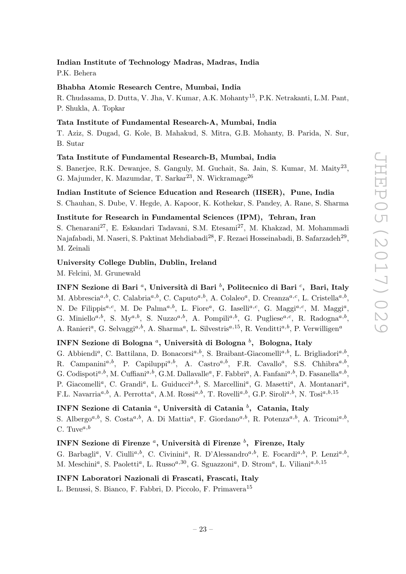## Indian Institute of Technology Madras, Madras, India

P.K. Behera

### Bhabha Atomic Research Centre, Mumbai, India

R. Chudasama, D. Dutta, V. Jha, V. Kumar, A.K. Mohanty<sup>15</sup>, P.K. Netrakanti, L.M. Pant, P. Shukla, A. Topkar

## Tata Institute of Fundamental Research-A, Mumbai, India

T. Aziz, S. Dugad, G. Kole, B. Mahakud, S. Mitra, G.B. Mohanty, B. Parida, N. Sur, B. Sutar

## Tata Institute of Fundamental Research-B, Mumbai, India

S. Banerjee, R.K. Dewanjee, S. Ganguly, M. Guchait, Sa. Jain, S. Kumar, M. Maity<sup>23</sup>, G. Majumder, K. Mazumdar, T. Sarkar<sup>23</sup>, N. Wickramage<sup>26</sup>

#### Indian Institute of Science Education and Research (IISER), Pune, India

S. Chauhan, S. Dube, V. Hegde, A. Kapoor, K. Kothekar, S. Pandey, A. Rane, S. Sharma

### Institute for Research in Fundamental Sciences (IPM), Tehran, Iran

S. Chenarani27, E. Eskandari Tadavani, S.M. Etesami27, M. Khakzad, M. Mohammadi Najafabadi, M. Naseri, S. Paktinat Mehdiabadi<sup>28</sup>, F. Rezaei Hosseinabadi, B. Safarzadeh<sup>29</sup>, M. Zeinali

### University College Dublin, Dublin, Ireland

M. Felcini, M. Grunewald

# INFN Sezione di Bari <sup>a</sup>, Università di Bari  $^b$ , Politecnico di Bari  $^c$ , Bari, Italy

M. Abbrescia<sup>a,b</sup>, C. Calabria<sup>a,b</sup>, C. Caputo<sup>a,b</sup>, A. Colaleo<sup>a</sup>, D. Creanza<sup>a,c</sup>, L. Cristella<sup>a,b</sup>, N. De Filippis<sup>a,c</sup>, M. De Palma<sup>a,b</sup>, L. Fiore<sup>a</sup>, G. Iaselli<sup>a,c</sup>, G. Maggi<sup>a,c</sup>, M. Maggi<sup>a</sup>, G. Miniello<sup>a,b</sup>, S. My<sup>a,b</sup>, S. Nuzzo<sup>a,b</sup>, A. Pompili<sup>a,b</sup>, G. Pugliese<sup>a,c</sup>, R. Radogna<sup>a,b</sup>, A. Ranieri<sup>a</sup>, G. Selvaggi<sup>a,b</sup>, A. Sharma<sup>a</sup>, L. Silvestris<sup>a,15</sup>, R. Venditti<sup>a,b</sup>, P. Verwilligen<sup>a</sup>

## INFN Sezione di Bologna <sup>a</sup>, Università di Bologna  $^b$ , Bologna, Italy

G. Abbiendi<sup>a</sup>, C. Battilana, D. Bonacorsi<sup>a,b</sup>, S. Braibant-Giacomelli<sup>a,b</sup>, L. Brigliadori<sup>a,b</sup>, R. Campanini<sup>a,b</sup>, P. Capiluppi<sup>a,b</sup>, A. Castro<sup>a,b</sup>, F.R. Cavallo<sup>a</sup>, S.S. Chhibra<sup>a,b</sup>, G. Codispoti<sup>a,b</sup>, M. Cuffiani<sup>a,b</sup>, G.M. Dallavalle<sup>a</sup>, F. Fabbri<sup>a</sup>, A. Fanfani<sup>a,b</sup>, D. Fasanella<sup>a,b</sup>, P. Giacomelli<sup>a</sup>, C. Grandi<sup>a</sup>, L. Guiducci<sup>a,b</sup>, S. Marcellini<sup>a</sup>, G. Masetti<sup>a</sup>, A. Montanari<sup>a</sup>, F.L. Navarria<sup>a,b</sup>, A. Perrotta<sup>a</sup>, A.M. Rossi<sup>a,b</sup>, T. Rovelli<sup>a,b</sup>, G.P. Siroli<sup>a,b</sup>, N. Tosi<sup>a,b,15</sup>

## INFN Sezione di Catania <sup>a</sup>, Università di Catania  $^b$ , Catania, Italy

S. Albergo<sup>a,b</sup>, S. Costa<sup>a,b</sup>, A. Di Mattia<sup>a</sup>, F. Giordano<sup>a,b</sup>, R. Potenza<sup>a,b</sup>, A. Tricomi<sup>a,b</sup>, C. Tuve<sup> $a,b$ </sup>

## INFN Sezione di Firenze <sup>a</sup>, Università di Firenze  $^b$ , Firenze, Italy

G. Barbagli<sup>a</sup>, V. Ciulli<sup>a,b</sup>, C. Civinini<sup>a</sup>, R. D'Alessandro<sup>a,b</sup>, E. Focardi<sup>a,b</sup>, P. Lenzi<sup>a,b</sup>, M. Meschini<sup>a</sup>, S. Paoletti<sup>a</sup>, L. Russo<sup>a, 30</sup>, G. Sguazzoni<sup>a</sup>, D. Strom<sup>a</sup>, L. Viliani<sup>a, b, 15</sup>

## INFN Laboratori Nazionali di Frascati, Frascati, Italy

L. Benussi, S. Bianco, F. Fabbri, D. Piccolo, F. Primavera<sup>15</sup>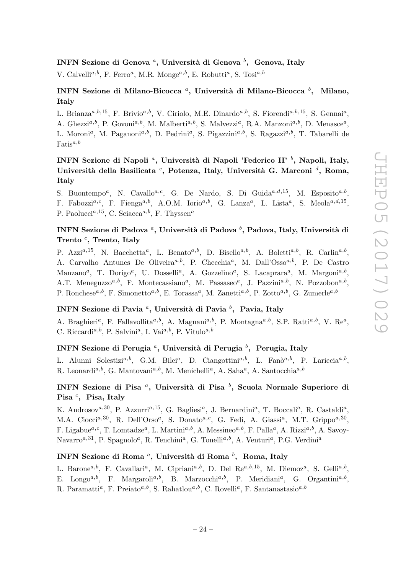## INFN Sezione di Genova  $^a,$  Università di Genova  $^b, \,$  Genova, Italy

V. Calvelli<sup>a,b</sup>, F. Ferro<sup>a</sup>, M.R. Monge<sup>a,b</sup>, E. Robutti<sup>a</sup>, S. Tosi<sup>a,b</sup>

## INFN Sezione di Milano-Bicocca <sup>a</sup>, Università di Milano-Bicocca <sup>b</sup>, Milano, Italy

L. Brianza<sup>a,b,15</sup>, F. Brivio<sup>a,b</sup>, V. Ciriolo, M.E. Dinardo<sup>a,b</sup>, S. Fiorendi<sup>a,b,15</sup>, S. Gennai<sup>a</sup>, A. Ghezzi<sup>a,b</sup>, P. Govoni<sup>a,b</sup>, M. Malberti<sup>a,b</sup>, S. Malvezzi<sup>a</sup>, R.A. Manzoni<sup>a,b</sup>, D. Menasce<sup>a</sup>, L. Moroni<sup>a</sup>, M. Paganoni<sup>a,b</sup>, D. Pedrini<sup>a</sup>, S. Pigazzini<sup>a,b</sup>, S. Ragazzi<sup>a,b</sup>, T. Tabarelli de  $Fatis<sup>a,b</sup>$ 

## INFN Sezione di Napoli <sup>a</sup>, Università di Napoli 'Federico II'  $^b$ , Napoli, Italy, Università della Basilicata  $^c$ , Potenza, Italy, Università G. Marconi  $^d$ , Roma, Italy

S. Buontempo<sup>a</sup>, N. Cavallo<sup>a,c</sup>, G. De Nardo, S. Di Guida<sup>a,d,15</sup>, M. Esposito<sup>a,b</sup>, F. Fabozzi<sup>a,c</sup>, F. Fienga<sup>a,b</sup>, A.O.M. Iorio<sup>a,b</sup>, G. Lanza<sup>a</sup>, L. Lista<sup>a</sup>, S. Meola<sup>a,d,15</sup>, P. Paolucci<sup>a, 15</sup>, C. Sciacca<sup>a,b</sup>, F. Thyssen<sup>a</sup>

## INFN Sezione di Padova <sup>a</sup>, Università di Padova  $^b$ , Padova, Italy, Università di  $Trento<sup>c</sup>$ , Trento, Italy

P. Azzi<sup>a, 15</sup>, N. Bacchetta<sup>a</sup>, L. Benato<sup>a,b</sup>, D. Bisello<sup>a,b</sup>, A. Boletti<sup>a,b</sup>, R. Carlin<sup>a,b</sup>, A. Carvalho Antunes De Oliveira<sup>a,b</sup>, P. Checchia<sup>a</sup>, M. Dall'Osso<sup>a,b</sup>, P. De Castro Manzano<sup>a</sup>, T. Dorigo<sup>a</sup>, U. Dosselli<sup>a</sup>, A. Gozzelino<sup>a</sup>, S. Lacaprara<sup>a</sup>, M. Margoni<sup>a,b</sup>, A.T. Meneguzzo<sup>a,b</sup>, F. Montecassiano<sup>a</sup>, M. Passaseo<sup>a</sup>, J. Pazzini<sup>a,b</sup>, N. Pozzobon<sup>a,b</sup>, P. Ronchese<sup>a,b</sup>, F. Simonetto<sup>a,b</sup>, E. Torassa<sup>a</sup>, M. Zanetti<sup>a,b</sup>, P. Zotto<sup>a,b</sup>, G. Zumerle<sup>a,b</sup>

## INFN Sezione di Pavia <sup>a</sup>, Università di Pavia  $^b$ , Pavia, Italy

A. Braghieri<sup>a</sup>, F. Fallavollita<sup>a,b</sup>, A. Magnani<sup>a,b</sup>, P. Montagna<sup>a,b</sup>, S.P. Ratti<sup>a,b</sup>, V. Re<sup>a</sup>, C. Riccardi<sup>a,b</sup>, P. Salvini<sup>a</sup>, I. Vai<sup>a,b</sup>, P. Vitulo<sup>a,b</sup>

## INFN Sezione di Perugia <sup>a</sup>, Università di Perugia  $^b$ , Perugia, Italy

L. Alunni Solestizi<sup>a,b</sup>, G.M. Bilei<sup>a</sup>, D. Ciangottini<sup>a,b</sup>, L. Fanò<sup>a,b</sup>, P. Lariccia<sup>a,b</sup>, R. Leonardi<sup>a, b</sup>, G. Mantovani<sup>a, b</sup>, M. Menichelli<sup>a</sup>, A. Saha<sup>a</sup>, A. Santocchia<sup>a, b</sup>

## INFN Sezione di Pisa <sup>a</sup>, Università di Pisa <sup>b</sup>, Scuola Normale Superiore di Pisa<sup>c</sup>, Pisa, Italy

K. Androsov<sup>a, 30</sup>, P. Azzurri<sup>a, 15</sup>, G. Bagliesi<sup>a</sup>, J. Bernardini<sup>a</sup>, T. Boccali<sup>a</sup>, R. Castaldi<sup>a</sup>, M.A. Ciocci<sup>a,30</sup>, R. Dell'Orso<sup>a</sup>, S. Donato<sup>a,c</sup>, G. Fedi, A. Giassi<sup>a</sup>, M.T. Grippo<sup>a,30</sup>, F. Ligabue<sup>a, c</sup>, T. Lomtadze<sup>a</sup>, L. Martini<sup>a, b</sup>, A. Messineo<sup>a, b</sup>, F. Palla<sup>a</sup>, A. Rizzi<sup>a, b</sup>, A. Savoy-Navarro<sup>a,31</sup>, P. Spagnolo<sup>a</sup>, R. Tenchini<sup>a</sup>, G. Tonelli<sup>a,b</sup>, A. Venturi<sup>a</sup>, P.G. Verdini<sup>a</sup>

## INFN Sezione di Roma  $^a,$  Università di Roma  $^b, \, \,$  Roma, Italy

L. Barone<sup>a,b</sup>, F. Cavallari<sup>a</sup>, M. Cipriani<sup>a,b</sup>, D. Del Re<sup>a,b,15</sup>, M. Diemoz<sup>a</sup>, S. Gelli<sup>a,b</sup>, E. Longo<sup>a,b</sup>, F. Margaroli<sup>a,b</sup>, B. Marzocchi<sup>a,b</sup>, P. Meridiani<sup>a</sup>, G. Organtini<sup>a,b</sup>, R. Paramatti<sup>a</sup>, F. Preiato<sup>a,b</sup>, S. Rahatlou<sup>a,b</sup>, C. Rovelli<sup>a</sup>, F. Santanastasio<sup>a,b</sup>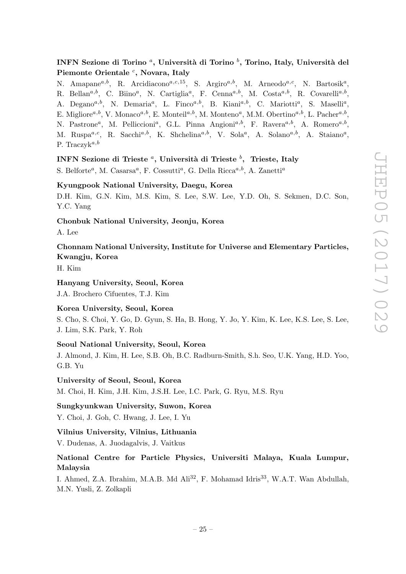## INFN Sezione di Torino <sup>a</sup>, Università di Torino  $^b,$  Torino, Italy, Università del Piemonte Orientale  $^c$ , Novara, Italy

N. Amapane<sup>a,b</sup>, R. Arcidiacono<sup>a,c,15</sup>, S. Argiro<sup>a,b</sup>, M. Arneodo<sup>a,c</sup>, N. Bartosik<sup>a</sup>, R. Bellan<sup>a,b</sup>, C. Biino<sup>a</sup>, N. Cartiglia<sup>a</sup>, F. Cenna<sup>a,b</sup>, M. Costa<sup>a,b</sup>, R. Covarelli<sup>a,b</sup>, A. Degano<sup>a,b</sup>, N. Demaria<sup>a</sup>, L. Finco<sup>a,b</sup>, B. Kiani<sup>a,b</sup>, C. Mariotti<sup>a</sup>, S. Maselli<sup>a</sup>, E. Migliore<sup>a,b</sup>, V. Monaco<sup>a,b</sup>, E. Monteil<sup>a,b</sup>, M. Monteno<sup>a</sup>, M.M. Obertino<sup>a,b</sup>, L. Pacher<sup>a,b</sup>, N. Pastrone<sup>a</sup>, M. Pelliccioni<sup>a</sup>, G.L. Pinna Angioni<sup>a,b</sup>, F. Ravera<sup>a,b</sup>, A. Romero<sup>a,b</sup>, M. Ruspa<sup>a,c</sup>, R. Sacchi<sup>a,b</sup>, K. Shchelina<sup>a,b</sup>, V. Sola<sup>a</sup>, A. Solano<sup>a,b</sup>, A. Staiano<sup>a</sup>, P. Traczyk $a,b$ 

INFN Sezione di Trieste <sup>a</sup>, Università di Trieste  $^b$ , Trieste, Italy

S. Belforte<sup>a</sup>, M. Casarsa<sup>a</sup>, F. Cossutti<sup>a</sup>, G. Della Ricca<sup>a,b</sup>, A. Zanetti<sup>a</sup>

## Kyungpook National University, Daegu, Korea

D.H. Kim, G.N. Kim, M.S. Kim, S. Lee, S.W. Lee, Y.D. Oh, S. Sekmen, D.C. Son, Y.C. Yang

Chonbuk National University, Jeonju, Korea

A. Lee

Chonnam National University, Institute for Universe and Elementary Particles, Kwangju, Korea H. Kim

Hanyang University, Seoul, Korea J.A. Brochero Cifuentes, T.J. Kim

Korea University, Seoul, Korea

S. Cho, S. Choi, Y. Go, D. Gyun, S. Ha, B. Hong, Y. Jo, Y. Kim, K. Lee, K.S. Lee, S. Lee, J. Lim, S.K. Park, Y. Roh

### Seoul National University, Seoul, Korea

J. Almond, J. Kim, H. Lee, S.B. Oh, B.C. Radburn-Smith, S.h. Seo, U.K. Yang, H.D. Yoo, G.B. Yu

University of Seoul, Seoul, Korea M. Choi, H. Kim, J.H. Kim, J.S.H. Lee, I.C. Park, G. Ryu, M.S. Ryu

## Sungkyunkwan University, Suwon, Korea

Y. Choi, J. Goh, C. Hwang, J. Lee, I. Yu

Vilnius University, Vilnius, Lithuania

V. Dudenas, A. Juodagalvis, J. Vaitkus

## National Centre for Particle Physics, Universiti Malaya, Kuala Lumpur, Malaysia

I. Ahmed, Z.A. Ibrahim, M.A.B. Md Ali<sup>32</sup>, F. Mohamad Idris<sup>33</sup>, W.A.T. Wan Abdullah, M.N. Yusli, Z. Zolkapli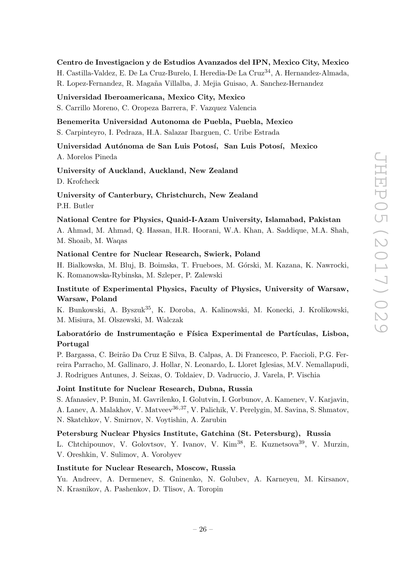#### Centro de Investigacion y de Estudios Avanzados del IPN, Mexico City, Mexico

H. Castilla-Valdez, E. De La Cruz-Burelo, I. Heredia-De La Cruz<sup>34</sup>, A. Hernandez-Almada, R. Lopez-Fernandez, R. Magaña Villalba, J. Mejia Guisao, A. Sanchez-Hernandez

#### Universidad Iberoamericana, Mexico City, Mexico

S. Carrillo Moreno, C. Oropeza Barrera, F. Vazquez Valencia

#### Benemerita Universidad Autonoma de Puebla, Puebla, Mexico

S. Carpinteyro, I. Pedraza, H.A. Salazar Ibarguen, C. Uribe Estrada

# Universidad Autónoma de San Luis Potosí, San Luis Potosí, Mexico

A. Morelos Pineda

## University of Auckland, Auckland, New Zealand

D. Krofcheck

University of Canterbury, Christchurch, New Zealand P.H. Butler

#### National Centre for Physics, Quaid-I-Azam University, Islamabad, Pakistan

A. Ahmad, M. Ahmad, Q. Hassan, H.R. Hoorani, W.A. Khan, A. Saddique, M.A. Shah, M. Shoaib, M. Waqas

#### National Centre for Nuclear Research, Swierk, Poland

H. Bialkowska, M. Bluj, B. Boimska, T. Frueboes, M. G´orski, M. Kazana, K. Nawrocki, K. Romanowska-Rybinska, M. Szleper, P. Zalewski

## Institute of Experimental Physics, Faculty of Physics, University of Warsaw, Warsaw, Poland

K. Bunkowski, A. Byszuk35, K. Doroba, A. Kalinowski, M. Konecki, J. Krolikowski, M. Misiura, M. Olszewski, M. Walczak

## Laboratório de Instrumentação e Física Experimental de Partículas, Lisboa, Portugal

P. Bargassa, C. Beirão Da Cruz E Silva, B. Calpas, A. Di Francesco, P. Faccioli, P.G. Ferreira Parracho, M. Gallinaro, J. Hollar, N. Leonardo, L. Lloret Iglesias, M.V. Nemallapudi, J. Rodrigues Antunes, J. Seixas, O. Toldaiev, D. Vadruccio, J. Varela, P. Vischia

## Joint Institute for Nuclear Research, Dubna, Russia

S. Afanasiev, P. Bunin, M. Gavrilenko, I. Golutvin, I. Gorbunov, A. Kamenev, V. Karjavin, A. Lanev, A. Malakhov, V. Matveev<sup>36, 37</sup>, V. Palichik, V. Perelygin, M. Savina, S. Shmatov, N. Skatchkov, V. Smirnov, N. Voytishin, A. Zarubin

#### Petersburg Nuclear Physics Institute, Gatchina (St. Petersburg), Russia

L. Chtchipounov, V. Golovtsov, Y. Ivanov, V. Kim<sup>38</sup>, E. Kuznetsova<sup>39</sup>, V. Murzin, V. Oreshkin, V. Sulimov, A. Vorobyev

#### Institute for Nuclear Research, Moscow, Russia

Yu. Andreev, A. Dermenev, S. Gninenko, N. Golubev, A. Karneyeu, M. Kirsanov, N. Krasnikov, A. Pashenkov, D. Tlisov, A. Toropin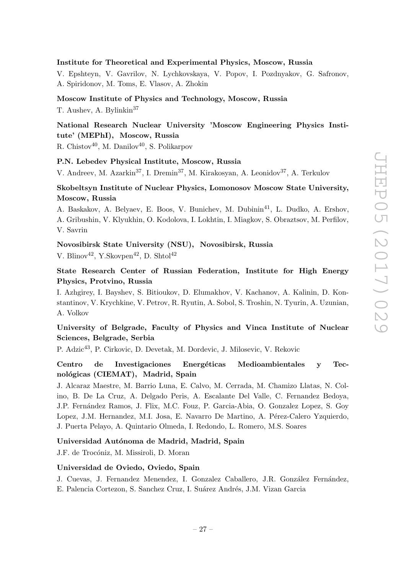#### Institute for Theoretical and Experimental Physics, Moscow, Russia

V. Epshteyn, V. Gavrilov, N. Lychkovskaya, V. Popov, I. Pozdnyakov, G. Safronov, A. Spiridonov, M. Toms, E. Vlasov, A. Zhokin

#### Moscow Institute of Physics and Technology, Moscow, Russia

T. Aushev, A. Bylinkin<sup>37</sup>

## National Research Nuclear University 'Moscow Engineering Physics Institute' (MEPhI), Moscow, Russia

R. Chistov<sup>40</sup>, M. Danilov<sup>40</sup>, S. Polikarpov

## P.N. Lebedev Physical Institute, Moscow, Russia

V. Andreev, M. Azarkin<sup>37</sup>, I. Dremin<sup>37</sup>, M. Kirakosyan, A. Leonidov<sup>37</sup>, A. Terkulov

## Skobeltsyn Institute of Nuclear Physics, Lomonosov Moscow State University, Moscow, Russia

A. Baskakov, A. Belyaev, E. Boos, V. Bunichev, M. Dubinin<sup>41</sup>, L. Dudko, A. Ershov, A. Gribushin, V. Klyukhin, O. Kodolova, I. Lokhtin, I. Miagkov, S. Obraztsov, M. Perfilov, V. Savrin

### Novosibirsk State University (NSU), Novosibirsk, Russia

V. Blinov<sup>42</sup>, Y.Skovpen<sup>42</sup>, D. Shtol<sup>42</sup>

## State Research Center of Russian Federation, Institute for High Energy Physics, Protvino, Russia

I. Azhgirey, I. Bayshev, S. Bitioukov, D. Elumakhov, V. Kachanov, A. Kalinin, D. Konstantinov, V. Krychkine, V. Petrov, R. Ryutin, A. Sobol, S. Troshin, N. Tyurin, A. Uzunian, A. Volkov

## University of Belgrade, Faculty of Physics and Vinca Institute of Nuclear Sciences, Belgrade, Serbia

P. Adzic<sup>43</sup>, P. Cirkovic, D. Devetak, M. Dordevic, J. Milosevic, V. Rekovic

## Centro de Investigaciones Energéticas Medioambientales y Tecnológicas (CIEMAT), Madrid, Spain

J. Alcaraz Maestre, M. Barrio Luna, E. Calvo, M. Cerrada, M. Chamizo Llatas, N. Colino, B. De La Cruz, A. Delgado Peris, A. Escalante Del Valle, C. Fernandez Bedoya, J.P. Fernández Ramos, J. Flix, M.C. Fouz, P. Garcia-Abia, O. Gonzalez Lopez, S. Goy Lopez, J.M. Hernandez, M.I. Josa, E. Navarro De Martino, A. Pérez-Calero Yzquierdo, J. Puerta Pelayo, A. Quintario Olmeda, I. Redondo, L. Romero, M.S. Soares

#### Universidad Autónoma de Madrid, Madrid, Spain

J.F. de Trocóniz, M. Missiroli, D. Moran

### Universidad de Oviedo, Oviedo, Spain

J. Cuevas, J. Fernandez Menendez, I. Gonzalez Caballero, J.R. González Fernández, E. Palencia Cortezon, S. Sanchez Cruz, I. Suárez Andrés, J.M. Vizan Garcia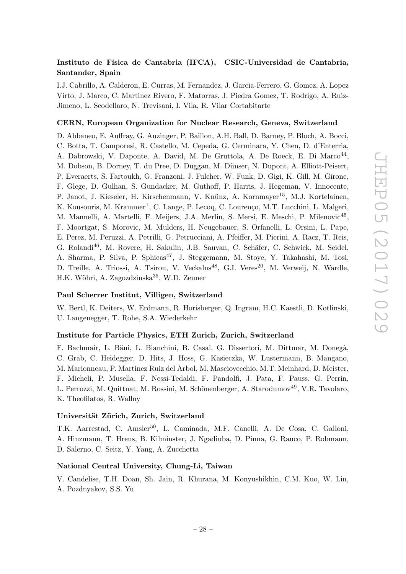## Instituto de Física de Cantabria (IFCA), CSIC-Universidad de Cantabria, Santander, Spain

I.J. Cabrillo, A. Calderon, E. Curras, M. Fernandez, J. Garcia-Ferrero, G. Gomez, A. Lopez Virto, J. Marco, C. Martinez Rivero, F. Matorras, J. Piedra Gomez, T. Rodrigo, A. Ruiz-Jimeno, L. Scodellaro, N. Trevisani, I. Vila, R. Vilar Cortabitarte

## CERN, European Organization for Nuclear Research, Geneva, Switzerland

D. Abbaneo, E. Auffray, G. Auzinger, P. Baillon, A.H. Ball, D. Barney, P. Bloch, A. Bocci, C. Botta, T. Camporesi, R. Castello, M. Cepeda, G. Cerminara, Y. Chen, D. d'Enterria, A. Dabrowski, V. Daponte, A. David, M. De Gruttola, A. De Roeck, E. Di Marco<sup>44</sup>, M. Dobson, B. Dorney, T. du Pree, D. Duggan, M. Dünser, N. Dupont, A. Elliott-Peisert, P. Everaerts, S. Fartoukh, G. Franzoni, J. Fulcher, W. Funk, D. Gigi, K. Gill, M. Girone, F. Glege, D. Gulhan, S. Gundacker, M. Guthoff, P. Harris, J. Hegeman, V. Innocente, P. Janot, J. Kieseler, H. Kirschenmann, V. Knünz, A. Kornmayer<sup>15</sup>, M.J. Kortelainen, K. Kousouris, M. Krammer<sup>1</sup>, C. Lange, P. Lecoq, C. Lourenço, M.T. Lucchini, L. Malgeri, M. Mannelli, A. Martelli, F. Meijers, J.A. Merlin, S. Mersi, E. Meschi, P. Milenovic<sup>45</sup>, F. Moortgat, S. Morovic, M. Mulders, H. Neugebauer, S. Orfanelli, L. Orsini, L. Pape, E. Perez, M. Peruzzi, A. Petrilli, G. Petrucciani, A. Pfeiffer, M. Pierini, A. Racz, T. Reis, G. Rolandi<sup>46</sup>, M. Rovere, H. Sakulin, J.B. Sauvan, C. Schäfer, C. Schwick, M. Seidel, A. Sharma, P. Silva, P. Sphicas<sup>47</sup>, J. Steggemann, M. Stove, Y. Takahashi, M. Tosi, D. Treille, A. Triossi, A. Tsirou, V. Veckalns<sup>48</sup>, G.I. Veres<sup>20</sup>, M. Verweij, N. Wardle, H.K. Wöhri, A. Zagozdzinska<sup>35</sup>, W.D. Zeuner

## Paul Scherrer Institut, Villigen, Switzerland

W. Bertl, K. Deiters, W. Erdmann, R. Horisberger, Q. Ingram, H.C. Kaestli, D. Kotlinski, U. Langenegger, T. Rohe, S.A. Wiederkehr

#### Institute for Particle Physics, ETH Zurich, Zurich, Switzerland

F. Bachmair, L. Bäni, L. Bianchini, B. Casal, G. Dissertori, M. Dittmar, M. Donegà, C. Grab, C. Heidegger, D. Hits, J. Hoss, G. Kasieczka, W. Lustermann, B. Mangano, M. Marionneau, P. Martinez Ruiz del Arbol, M. Masciovecchio, M.T. Meinhard, D. Meister, F. Micheli, P. Musella, F. Nessi-Tedaldi, F. Pandolfi, J. Pata, F. Pauss, G. Perrin, L. Perrozzi, M. Quittnat, M. Rossini, M. Schönenberger, A. Starodumov<sup>49</sup>, V.R. Tavolaro, K. Theofilatos, R. Wallny

### Universität Zürich, Zurich, Switzerland

T.K. Aarrestad, C. Amsler<sup>50</sup>, L. Caminada, M.F. Canelli, A. De Cosa, C. Galloni, A. Hinzmann, T. Hreus, B. Kilminster, J. Ngadiuba, D. Pinna, G. Rauco, P. Robmann, D. Salerno, C. Seitz, Y. Yang, A. Zucchetta

#### National Central University, Chung-Li, Taiwan

V. Candelise, T.H. Doan, Sh. Jain, R. Khurana, M. Konyushikhin, C.M. Kuo, W. Lin, A. Pozdnyakov, S.S. Yu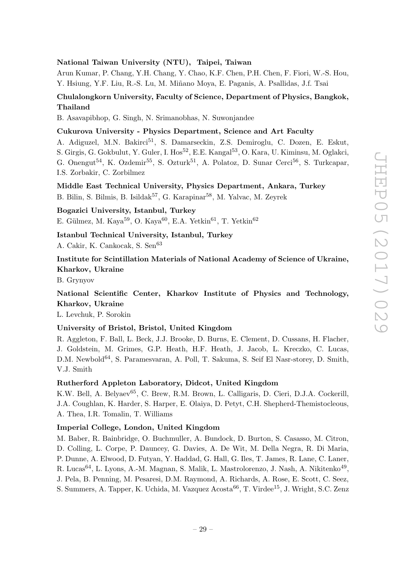### National Taiwan University (NTU), Taipei, Taiwan

Arun Kumar, P. Chang, Y.H. Chang, Y. Chao, K.F. Chen, P.H. Chen, F. Fiori, W.-S. Hou, Y. Hsiung, Y.F. Liu, R.-S. Lu, M. Miñano Moya, E. Paganis, A. Psallidas, J.f. Tsai

## Chulalongkorn University, Faculty of Science, Department of Physics, Bangkok, Thailand

B. Asavapibhop, G. Singh, N. Srimanobhas, N. Suwonjandee

## Cukurova University - Physics Department, Science and Art Faculty

A. Adiguzel, M.N. Bakirci<sup>51</sup>, S. Damarseckin, Z.S. Demiroglu, C. Dozen, E. Eskut, S. Girgis, G. Gokbulut, Y. Guler, I. Hos<sup>52</sup>, E.E. Kangal<sup>53</sup>, O. Kara, U. Kiminsu, M. Oglakci, G. Onengut<sup>54</sup>, K. Ozdemir<sup>55</sup>, S. Ozturk<sup>51</sup>, A. Polatoz, D. Sunar Cerci<sup>56</sup>, S. Turkcapar, I.S. Zorbakir, C. Zorbilmez

## Middle East Technical University, Physics Department, Ankara, Turkey

B. Bilin, S. Bilmis, B. Isildak<sup>57</sup>, G. Karapinar<sup>58</sup>, M. Yalvac, M. Zeyrek

Bogazici University, Istanbul, Turkey E. Gülmez, M. Kaya<sup>59</sup>, O. Kaya<sup>60</sup>, E.A. Yetkin<sup>61</sup>, T. Yetkin<sup>62</sup>

Istanbul Technical University, Istanbul, Turkey

A. Cakir, K. Cankocak, S. Sen<sup>63</sup>

## Institute for Scintillation Materials of National Academy of Science of Ukraine, Kharkov, Ukraine

B. Grynyov

## National Scientific Center, Kharkov Institute of Physics and Technology, Kharkov, Ukraine

L. Levchuk, P. Sorokin

#### University of Bristol, Bristol, United Kingdom

R. Aggleton, F. Ball, L. Beck, J.J. Brooke, D. Burns, E. Clement, D. Cussans, H. Flacher, J. Goldstein, M. Grimes, G.P. Heath, H.F. Heath, J. Jacob, L. Kreczko, C. Lucas, D.M. Newbold<sup>64</sup>, S. Paramesvaran, A. Poll, T. Sakuma, S. Seif El Nasr-storey, D. Smith, V.J. Smith

## Rutherford Appleton Laboratory, Didcot, United Kingdom

K.W. Bell, A. Belyaev<sup>65</sup>, C. Brew, R.M. Brown, L. Calligaris, D. Cieri, D.J.A. Cockerill, J.A. Coughlan, K. Harder, S. Harper, E. Olaiya, D. Petyt, C.H. Shepherd-Themistocleous, A. Thea, I.R. Tomalin, T. Williams

## Imperial College, London, United Kingdom

M. Baber, R. Bainbridge, O. Buchmuller, A. Bundock, D. Burton, S. Casasso, M. Citron, D. Colling, L. Corpe, P. Dauncey, G. Davies, A. De Wit, M. Della Negra, R. Di Maria, P. Dunne, A. Elwood, D. Futyan, Y. Haddad, G. Hall, G. Iles, T. James, R. Lane, C. Laner, R. Lucas<sup>64</sup>, L. Lyons, A.-M. Magnan, S. Malik, L. Mastrolorenzo, J. Nash, A. Nikitenko<sup>49</sup>, J. Pela, B. Penning, M. Pesaresi, D.M. Raymond, A. Richards, A. Rose, E. Scott, C. Seez, S. Summers, A. Tapper, K. Uchida, M. Vazquez Acosta<sup>66</sup>, T. Virdee<sup>15</sup>, J. Wright, S.C. Zenz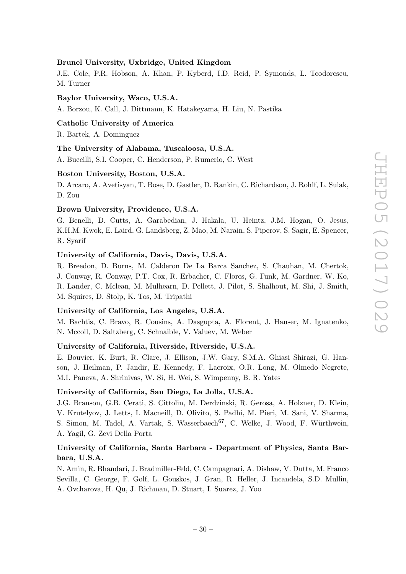### Brunel University, Uxbridge, United Kingdom

J.E. Cole, P.R. Hobson, A. Khan, P. Kyberd, I.D. Reid, P. Symonds, L. Teodorescu, M. Turner

#### Baylor University, Waco, U.S.A.

A. Borzou, K. Call, J. Dittmann, K. Hatakeyama, H. Liu, N. Pastika

#### Catholic University of America

R. Bartek, A. Dominguez

## The University of Alabama, Tuscaloosa, U.S.A.

A. Buccilli, S.I. Cooper, C. Henderson, P. Rumerio, C. West

#### Boston University, Boston, U.S.A.

D. Arcaro, A. Avetisyan, T. Bose, D. Gastler, D. Rankin, C. Richardson, J. Rohlf, L. Sulak, D. Zou

#### Brown University, Providence, U.S.A.

G. Benelli, D. Cutts, A. Garabedian, J. Hakala, U. Heintz, J.M. Hogan, O. Jesus, K.H.M. Kwok, E. Laird, G. Landsberg, Z. Mao, M. Narain, S. Piperov, S. Sagir, E. Spencer, R. Syarif

#### University of California, Davis, Davis, U.S.A.

R. Breedon, D. Burns, M. Calderon De La Barca Sanchez, S. Chauhan, M. Chertok, J. Conway, R. Conway, P.T. Cox, R. Erbacher, C. Flores, G. Funk, M. Gardner, W. Ko, R. Lander, C. Mclean, M. Mulhearn, D. Pellett, J. Pilot, S. Shalhout, M. Shi, J. Smith, M. Squires, D. Stolp, K. Tos, M. Tripathi

### University of California, Los Angeles, U.S.A.

M. Bachtis, C. Bravo, R. Cousins, A. Dasgupta, A. Florent, J. Hauser, M. Ignatenko, N. Mccoll, D. Saltzberg, C. Schnaible, V. Valuev, M. Weber

## University of California, Riverside, Riverside, U.S.A.

E. Bouvier, K. Burt, R. Clare, J. Ellison, J.W. Gary, S.M.A. Ghiasi Shirazi, G. Hanson, J. Heilman, P. Jandir, E. Kennedy, F. Lacroix, O.R. Long, M. Olmedo Negrete, M.I. Paneva, A. Shrinivas, W. Si, H. Wei, S. Wimpenny, B. R. Yates

#### University of California, San Diego, La Jolla, U.S.A.

J.G. Branson, G.B. Cerati, S. Cittolin, M. Derdzinski, R. Gerosa, A. Holzner, D. Klein, V. Krutelyov, J. Letts, I. Macneill, D. Olivito, S. Padhi, M. Pieri, M. Sani, V. Sharma, S. Simon, M. Tadel, A. Vartak, S. Wasserbaech<sup>67</sup>, C. Welke, J. Wood, F. Würthwein, A. Yagil, G. Zevi Della Porta

## University of California, Santa Barbara - Department of Physics, Santa Barbara, U.S.A.

N. Amin, R. Bhandari, J. Bradmiller-Feld, C. Campagnari, A. Dishaw, V. Dutta, M. Franco Sevilla, C. George, F. Golf, L. Gouskos, J. Gran, R. Heller, J. Incandela, S.D. Mullin, A. Ovcharova, H. Qu, J. Richman, D. Stuart, I. Suarez, J. Yoo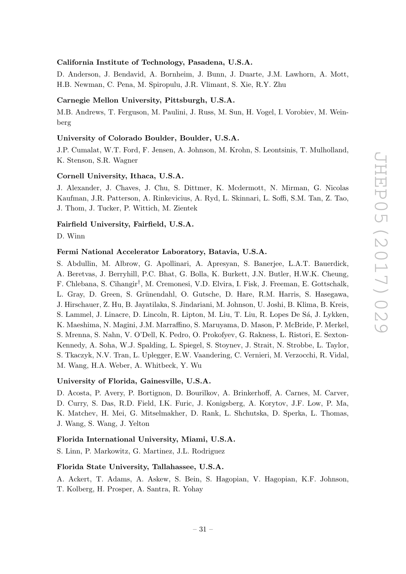### California Institute of Technology, Pasadena, U.S.A.

D. Anderson, J. Bendavid, A. Bornheim, J. Bunn, J. Duarte, J.M. Lawhorn, A. Mott, H.B. Newman, C. Pena, M. Spiropulu, J.R. Vlimant, S. Xie, R.Y. Zhu

#### Carnegie Mellon University, Pittsburgh, U.S.A.

M.B. Andrews, T. Ferguson, M. Paulini, J. Russ, M. Sun, H. Vogel, I. Vorobiev, M. Weinberg

### University of Colorado Boulder, Boulder, U.S.A.

J.P. Cumalat, W.T. Ford, F. Jensen, A. Johnson, M. Krohn, S. Leontsinis, T. Mulholland, K. Stenson, S.R. Wagner

### Cornell University, Ithaca, U.S.A.

J. Alexander, J. Chaves, J. Chu, S. Dittmer, K. Mcdermott, N. Mirman, G. Nicolas Kaufman, J.R. Patterson, A. Rinkevicius, A. Ryd, L. Skinnari, L. Soffi, S.M. Tan, Z. Tao, J. Thom, J. Tucker, P. Wittich, M. Zientek

#### Fairfield University, Fairfield, U.S.A.

D. Winn

#### Fermi National Accelerator Laboratory, Batavia, U.S.A.

S. Abdullin, M. Albrow, G. Apollinari, A. Apresyan, S. Banerjee, L.A.T. Bauerdick, A. Beretvas, J. Berryhill, P.C. Bhat, G. Bolla, K. Burkett, J.N. Butler, H.W.K. Cheung, F. Chlebana, S. Cihangir† , M. Cremonesi, V.D. Elvira, I. Fisk, J. Freeman, E. Gottschalk, L. Gray, D. Green, S. Grünendahl, O. Gutsche, D. Hare, R.M. Harris, S. Hasegawa, J. Hirschauer, Z. Hu, B. Jayatilaka, S. Jindariani, M. Johnson, U. Joshi, B. Klima, B. Kreis, S. Lammel, J. Linacre, D. Lincoln, R. Lipton, M. Liu, T. Liu, R. Lopes De Sá, J. Lykken, K. Maeshima, N. Magini, J.M. Marraffino, S. Maruyama, D. Mason, P. McBride, P. Merkel, S. Mrenna, S. Nahn, V. O'Dell, K. Pedro, O. Prokofyev, G. Rakness, L. Ristori, E. Sexton-Kennedy, A. Soha, W.J. Spalding, L. Spiegel, S. Stoynev, J. Strait, N. Strobbe, L. Taylor, S. Tkaczyk, N.V. Tran, L. Uplegger, E.W. Vaandering, C. Vernieri, M. Verzocchi, R. Vidal, M. Wang, H.A. Weber, A. Whitbeck, Y. Wu

#### University of Florida, Gainesville, U.S.A.

D. Acosta, P. Avery, P. Bortignon, D. Bourilkov, A. Brinkerhoff, A. Carnes, M. Carver, D. Curry, S. Das, R.D. Field, I.K. Furic, J. Konigsberg, A. Korytov, J.F. Low, P. Ma, K. Matchev, H. Mei, G. Mitselmakher, D. Rank, L. Shchutska, D. Sperka, L. Thomas, J. Wang, S. Wang, J. Yelton

#### Florida International University, Miami, U.S.A.

S. Linn, P. Markowitz, G. Martinez, J.L. Rodriguez

#### Florida State University, Tallahassee, U.S.A.

A. Ackert, T. Adams, A. Askew, S. Bein, S. Hagopian, V. Hagopian, K.F. Johnson, T. Kolberg, H. Prosper, A. Santra, R. Yohay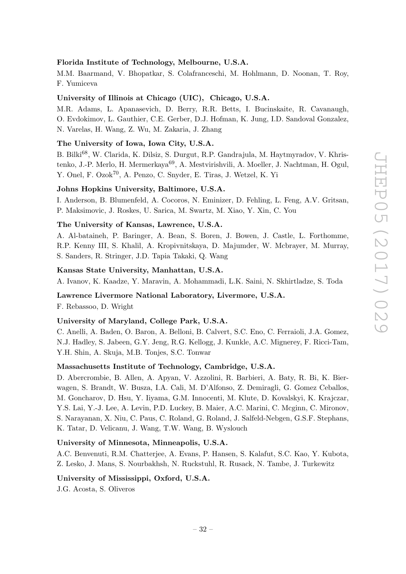### Florida Institute of Technology, Melbourne, U.S.A.

M.M. Baarmand, V. Bhopatkar, S. Colafranceschi, M. Hohlmann, D. Noonan, T. Roy, F. Yumiceva

#### University of Illinois at Chicago (UIC), Chicago, U.S.A.

M.R. Adams, L. Apanasevich, D. Berry, R.R. Betts, I. Bucinskaite, R. Cavanaugh, O. Evdokimov, L. Gauthier, C.E. Gerber, D.J. Hofman, K. Jung, I.D. Sandoval Gonzalez, N. Varelas, H. Wang, Z. Wu, M. Zakaria, J. Zhang

## The University of Iowa, Iowa City, U.S.A.

B. Bilki68, W. Clarida, K. Dilsiz, S. Durgut, R.P. Gandrajula, M. Haytmyradov, V. Khristenko, J.-P. Merlo, H. Mermerkaya<sup>69</sup>, A. Mestvirishvili, A. Moeller, J. Nachtman, H. Ogul, Y. Onel, F. Ozok<sup>70</sup>, A. Penzo, C. Snyder, E. Tiras, J. Wetzel, K. Yi

## Johns Hopkins University, Baltimore, U.S.A.

I. Anderson, B. Blumenfeld, A. Cocoros, N. Eminizer, D. Fehling, L. Feng, A.V. Gritsan, P. Maksimovic, J. Roskes, U. Sarica, M. Swartz, M. Xiao, Y. Xin, C. You

#### The University of Kansas, Lawrence, U.S.A.

A. Al-bataineh, P. Baringer, A. Bean, S. Boren, J. Bowen, J. Castle, L. Forthomme, R.P. Kenny III, S. Khalil, A. Kropivnitskaya, D. Majumder, W. Mcbrayer, M. Murray, S. Sanders, R. Stringer, J.D. Tapia Takaki, Q. Wang

#### Kansas State University, Manhattan, U.S.A.

A. Ivanov, K. Kaadze, Y. Maravin, A. Mohammadi, L.K. Saini, N. Skhirtladze, S. Toda

## Lawrence Livermore National Laboratory, Livermore, U.S.A.

F. Rebassoo, D. Wright

#### University of Maryland, College Park, U.S.A.

C. Anelli, A. Baden, O. Baron, A. Belloni, B. Calvert, S.C. Eno, C. Ferraioli, J.A. Gomez, N.J. Hadley, S. Jabeen, G.Y. Jeng, R.G. Kellogg, J. Kunkle, A.C. Mignerey, F. Ricci-Tam, Y.H. Shin, A. Skuja, M.B. Tonjes, S.C. Tonwar

#### Massachusetts Institute of Technology, Cambridge, U.S.A.

D. Abercrombie, B. Allen, A. Apyan, V. Azzolini, R. Barbieri, A. Baty, R. Bi, K. Bierwagen, S. Brandt, W. Busza, I.A. Cali, M. D'Alfonso, Z. Demiragli, G. Gomez Ceballos, M. Goncharov, D. Hsu, Y. Iiyama, G.M. Innocenti, M. Klute, D. Kovalskyi, K. Krajczar, Y.S. Lai, Y.-J. Lee, A. Levin, P.D. Luckey, B. Maier, A.C. Marini, C. Mcginn, C. Mironov, S. Narayanan, X. Niu, C. Paus, C. Roland, G. Roland, J. Salfeld-Nebgen, G.S.F. Stephans, K. Tatar, D. Velicanu, J. Wang, T.W. Wang, B. Wyslouch

### University of Minnesota, Minneapolis, U.S.A.

A.C. Benvenuti, R.M. Chatterjee, A. Evans, P. Hansen, S. Kalafut, S.C. Kao, Y. Kubota, Z. Lesko, J. Mans, S. Nourbakhsh, N. Ruckstuhl, R. Rusack, N. Tambe, J. Turkewitz

#### University of Mississippi, Oxford, U.S.A.

J.G. Acosta, S. Oliveros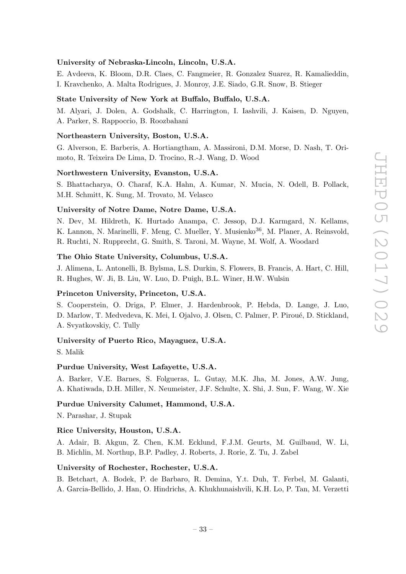#### University of Nebraska-Lincoln, Lincoln, U.S.A.

E. Avdeeva, K. Bloom, D.R. Claes, C. Fangmeier, R. Gonzalez Suarez, R. Kamalieddin, I. Kravchenko, A. Malta Rodrigues, J. Monroy, J.E. Siado, G.R. Snow, B. Stieger

#### State University of New York at Buffalo, Buffalo, U.S.A.

M. Alyari, J. Dolen, A. Godshalk, C. Harrington, I. Iashvili, J. Kaisen, D. Nguyen, A. Parker, S. Rappoccio, B. Roozbahani

#### Northeastern University, Boston, U.S.A.

G. Alverson, E. Barberis, A. Hortiangtham, A. Massironi, D.M. Morse, D. Nash, T. Orimoto, R. Teixeira De Lima, D. Trocino, R.-J. Wang, D. Wood

#### Northwestern University, Evanston, U.S.A.

S. Bhattacharya, O. Charaf, K.A. Hahn, A. Kumar, N. Mucia, N. Odell, B. Pollack, M.H. Schmitt, K. Sung, M. Trovato, M. Velasco

#### University of Notre Dame, Notre Dame, U.S.A.

N. Dev, M. Hildreth, K. Hurtado Anampa, C. Jessop, D.J. Karmgard, N. Kellams, K. Lannon, N. Marinelli, F. Meng, C. Mueller, Y. Musienko<sup>36</sup>, M. Planer, A. Reinsvold, R. Ruchti, N. Rupprecht, G. Smith, S. Taroni, M. Wayne, M. Wolf, A. Woodard

### The Ohio State University, Columbus, U.S.A.

J. Alimena, L. Antonelli, B. Bylsma, L.S. Durkin, S. Flowers, B. Francis, A. Hart, C. Hill, R. Hughes, W. Ji, B. Liu, W. Luo, D. Puigh, B.L. Winer, H.W. Wulsin

#### Princeton University, Princeton, U.S.A.

S. Cooperstein, O. Driga, P. Elmer, J. Hardenbrook, P. Hebda, D. Lange, J. Luo, D. Marlow, T. Medvedeva, K. Mei, I. Ojalvo, J. Olsen, C. Palmer, P. Piroué, D. Stickland, A. Svyatkovskiy, C. Tully

#### University of Puerto Rico, Mayaguez, U.S.A.

S. Malik

#### Purdue University, West Lafayette, U.S.A.

A. Barker, V.E. Barnes, S. Folgueras, L. Gutay, M.K. Jha, M. Jones, A.W. Jung, A. Khatiwada, D.H. Miller, N. Neumeister, J.F. Schulte, X. Shi, J. Sun, F. Wang, W. Xie

#### Purdue University Calumet, Hammond, U.S.A.

N. Parashar, J. Stupak

#### Rice University, Houston, U.S.A.

A. Adair, B. Akgun, Z. Chen, K.M. Ecklund, F.J.M. Geurts, M. Guilbaud, W. Li, B. Michlin, M. Northup, B.P. Padley, J. Roberts, J. Rorie, Z. Tu, J. Zabel

### University of Rochester, Rochester, U.S.A.

B. Betchart, A. Bodek, P. de Barbaro, R. Demina, Y.t. Duh, T. Ferbel, M. Galanti, A. Garcia-Bellido, J. Han, O. Hindrichs, A. Khukhunaishvili, K.H. Lo, P. Tan, M. Verzetti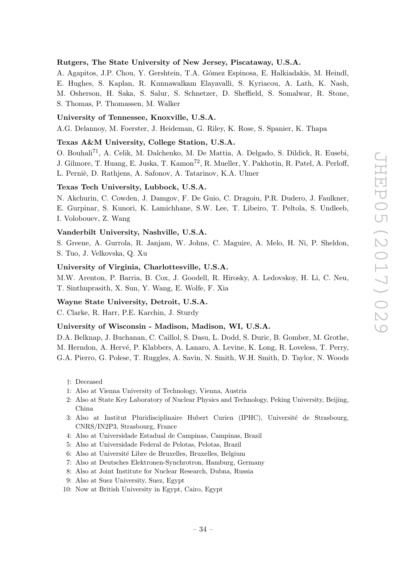#### Rutgers, The State University of New Jersey, Piscataway, U.S.A.

A. Agapitos, J.P. Chou, Y. Gershtein, T.A. G´omez Espinosa, E. Halkiadakis, M. Heindl,

E. Hughes, S. Kaplan, R. Kunnawalkam Elayavalli, S. Kyriacou, A. Lath, K. Nash,

M. Osherson, H. Saka, S. Salur, S. Schnetzer, D. Sheffield, S. Somalwar, R. Stone,

S. Thomas, P. Thomassen, M. Walker

## University of Tennessee, Knoxville, U.S.A.

A.G. Delannoy, M. Foerster, J. Heideman, G. Riley, K. Rose, S. Spanier, K. Thapa

## Texas A&M University, College Station, U.S.A.

O. Bouhali71, A. Celik, M. Dalchenko, M. De Mattia, A. Delgado, S. Dildick, R. Eusebi, J. Gilmore, T. Huang, E. Juska, T. Kamon<sup>72</sup>, R. Mueller, Y. Pakhotin, R. Patel, A. Perloff, L. Perniè, D. Rathjens, A. Safonov, A. Tatarinov, K.A. Ulmer

### Texas Tech University, Lubbock, U.S.A.

N. Akchurin, C. Cowden, J. Damgov, F. De Guio, C. Dragoiu, P.R. Dudero, J. Faulkner, E. Gurpinar, S. Kunori, K. Lamichhane, S.W. Lee, T. Libeiro, T. Peltola, S. Undleeb, I. Volobouev, Z. Wang

## Vanderbilt University, Nashville, U.S.A.

S. Greene, A. Gurrola, R. Janjam, W. Johns, C. Maguire, A. Melo, H. Ni, P. Sheldon, S. Tuo, J. Velkovska, Q. Xu

## University of Virginia, Charlottesville, U.S.A.

M.W. Arenton, P. Barria, B. Cox, J. Goodell, R. Hirosky, A. Ledovskoy, H. Li, C. Neu, T. Sinthuprasith, X. Sun, Y. Wang, E. Wolfe, F. Xia

### Wayne State University, Detroit, U.S.A.

C. Clarke, R. Harr, P.E. Karchin, J. Sturdy

#### University of Wisconsin - Madison, Madison, WI, U.S.A.

D.A. Belknap, J. Buchanan, C. Caillol, S. Dasu, L. Dodd, S. Duric, B. Gomber, M. Grothe, M. Herndon, A. Hervé, P. Klabbers, A. Lanaro, A. Levine, K. Long, R. Loveless, T. Perry, G.A. Pierro, G. Polese, T. Ruggles, A. Savin, N. Smith, W.H. Smith, D. Taylor, N. Woods

- †: Deceased
- 1: Also at Vienna University of Technology, Vienna, Austria
- 2: Also at State Key Laboratory of Nuclear Physics and Technology, Peking University, Beijing, China
- 3: Also at Institut Pluridisciplinaire Hubert Curien (IPHC), Université de Strasbourg, CNRS/IN2P3, Strasbourg, France
- 4: Also at Universidade Estadual de Campinas, Campinas, Brazil
- 5: Also at Universidade Federal de Pelotas, Pelotas, Brazil
- 6: Also at Université Libre de Bruxelles, Bruxelles, Belgium
- 7: Also at Deutsches Elektronen-Synchrotron, Hamburg, Germany
- 8: Also at Joint Institute for Nuclear Research, Dubna, Russia
- 9: Also at Suez University, Suez, Egypt
- 10: Now at British University in Egypt, Cairo, Egypt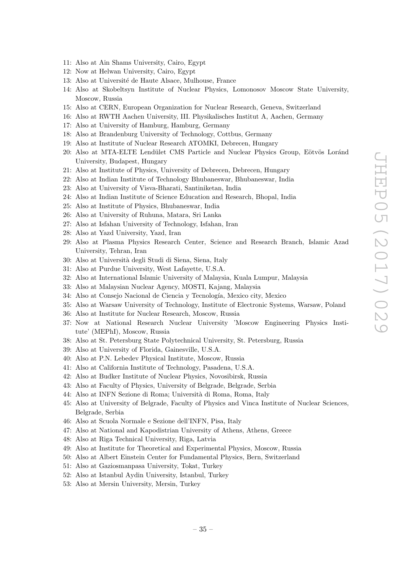- 11: Also at Ain Shams University, Cairo, Egypt
- 12: Now at Helwan University, Cairo, Egypt
- 13: Also at Université de Haute Alsace, Mulhouse, France
- 14: Also at Skobeltsyn Institute of Nuclear Physics, Lomonosov Moscow State University, Moscow, Russia
- 15: Also at CERN, European Organization for Nuclear Research, Geneva, Switzerland
- 16: Also at RWTH Aachen University, III. Physikalisches Institut A, Aachen, Germany
- 17: Also at University of Hamburg, Hamburg, Germany
- 18: Also at Brandenburg University of Technology, Cottbus, Germany
- 19: Also at Institute of Nuclear Research ATOMKI, Debrecen, Hungary
- 20: Also at MTA-ELTE Lendület CMS Particle and Nuclear Physics Group, Eötvös Loránd University, Budapest, Hungary
- 21: Also at Institute of Physics, University of Debrecen, Debrecen, Hungary
- 22: Also at Indian Institute of Technology Bhubaneswar, Bhubaneswar, India
- 23: Also at University of Visva-Bharati, Santiniketan, India
- 24: Also at Indian Institute of Science Education and Research, Bhopal, India
- 25: Also at Institute of Physics, Bhubaneswar, India
- 26: Also at University of Ruhuna, Matara, Sri Lanka
- 27: Also at Isfahan University of Technology, Isfahan, Iran
- 28: Also at Yazd University, Yazd, Iran
- 29: Also at Plasma Physics Research Center, Science and Research Branch, Islamic Azad University, Tehran, Iran
- 30: Also at Universit`a degli Studi di Siena, Siena, Italy
- 31: Also at Purdue University, West Lafayette, U.S.A.
- 32: Also at International Islamic University of Malaysia, Kuala Lumpur, Malaysia
- 33: Also at Malaysian Nuclear Agency, MOSTI, Kajang, Malaysia
- 34: Also at Consejo Nacional de Ciencia y Tecnología, Mexico city, Mexico
- 35: Also at Warsaw University of Technology, Institute of Electronic Systems, Warsaw, Poland
- 36: Also at Institute for Nuclear Research, Moscow, Russia
- 37: Now at National Research Nuclear University 'Moscow Engineering Physics Institute' (MEPhI), Moscow, Russia
- 38: Also at St. Petersburg State Polytechnical University, St. Petersburg, Russia
- 39: Also at University of Florida, Gainesville, U.S.A.
- 40: Also at P.N. Lebedev Physical Institute, Moscow, Russia
- 41: Also at California Institute of Technology, Pasadena, U.S.A.
- 42: Also at Budker Institute of Nuclear Physics, Novosibirsk, Russia
- 43: Also at Faculty of Physics, University of Belgrade, Belgrade, Serbia
- 44: Also at INFN Sezione di Roma; Università di Roma, Roma, Italy
- 45: Also at University of Belgrade, Faculty of Physics and Vinca Institute of Nuclear Sciences, Belgrade, Serbia
- 46: Also at Scuola Normale e Sezione dell'INFN, Pisa, Italy
- 47: Also at National and Kapodistrian University of Athens, Athens, Greece
- 48: Also at Riga Technical University, Riga, Latvia
- 49: Also at Institute for Theoretical and Experimental Physics, Moscow, Russia
- 50: Also at Albert Einstein Center for Fundamental Physics, Bern, Switzerland
- 51: Also at Gaziosmanpasa University, Tokat, Turkey
- 52: Also at Istanbul Aydin University, Istanbul, Turkey
- 53: Also at Mersin University, Mersin, Turkey